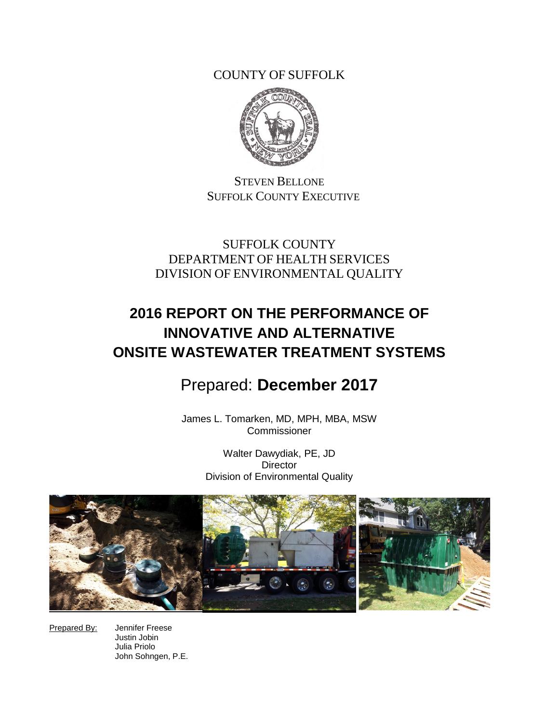COUNTY OF SUFFOLK



STEVEN BELLONE SUFFOLK COUNTY EXECUTIVE

SUFFOLK COUNTY DEPARTMENT OF HEALTH SERVICES DIVISION OF ENVIRONMENTAL QUALITY

# **2016 REPORT ON THE PERFORMANCE OF INNOVATIVE AND ALTERNATIVE ONSITE WASTEWATER TREATMENT SYSTEMS**

# Prepared: **December 2017**

James L. Tomarken, MD, MPH, MBA, MSW Commissioner

> Walter Dawydiak, PE, JD **Director** Division of Environmental Quality



Prepared By: Jennifer Freese Justin Jobin Julia Priolo John Sohngen, P.E.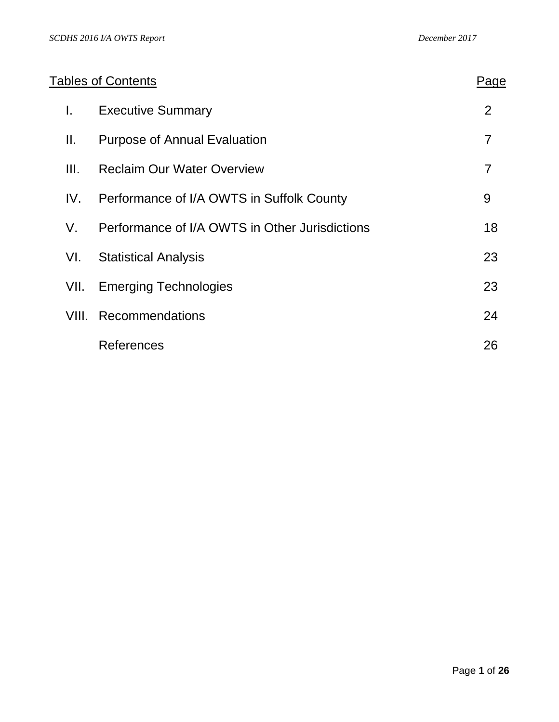|       | <b>Tables of Contents</b>                      | Page           |
|-------|------------------------------------------------|----------------|
| I.    | <b>Executive Summary</b>                       | $\overline{2}$ |
| Ⅱ.    | <b>Purpose of Annual Evaluation</b>            | $\overline{7}$ |
| III.  | <b>Reclaim Our Water Overview</b>              | $\overline{7}$ |
| IV.   | Performance of I/A OWTS in Suffolk County      | 9              |
| V.    | Performance of I/A OWTS in Other Jurisdictions | 18             |
| VI.   | <b>Statistical Analysis</b>                    | 23             |
| VII.  | <b>Emerging Technologies</b>                   | 23             |
| VIII. | <b>Recommendations</b>                         | 24             |
|       | References                                     | 26             |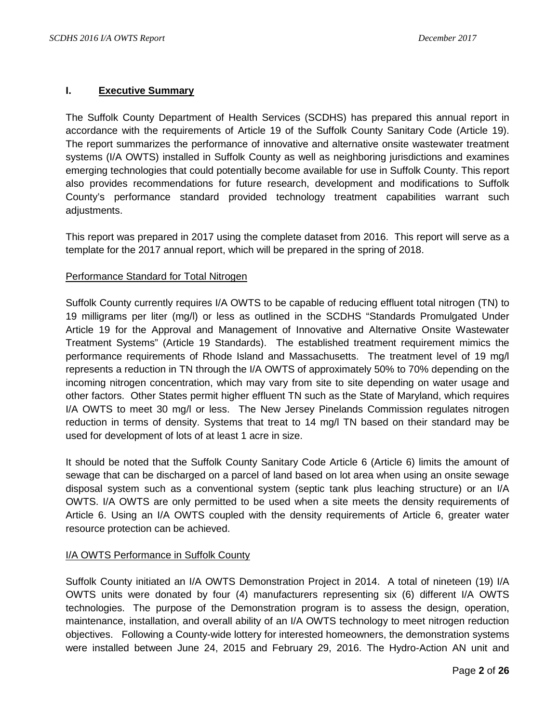## **I. Executive Summary**

The Suffolk County Department of Health Services (SCDHS) has prepared this annual report in accordance with the requirements of Article 19 of the Suffolk County Sanitary Code (Article 19). The report summarizes the performance of innovative and alternative onsite wastewater treatment systems (I/A OWTS) installed in Suffolk County as well as neighboring jurisdictions and examines emerging technologies that could potentially become available for use in Suffolk County. This report also provides recommendations for future research, development and modifications to Suffolk County's performance standard provided technology treatment capabilities warrant such adjustments.

This report was prepared in 2017 using the complete dataset from 2016. This report will serve as a template for the 2017 annual report, which will be prepared in the spring of 2018.

### Performance Standard for Total Nitrogen

Suffolk County currently requires I/A OWTS to be capable of reducing effluent total nitrogen (TN) to 19 milligrams per liter (mg/l) or less as outlined in the SCDHS "Standards Promulgated Under Article 19 for the Approval and Management of Innovative and Alternative Onsite Wastewater Treatment Systems" (Article 19 Standards). The established treatment requirement mimics the performance requirements of Rhode Island and Massachusetts. The treatment level of 19 mg/l represents a reduction in TN through the I/A OWTS of approximately 50% to 70% depending on the incoming nitrogen concentration, which may vary from site to site depending on water usage and other factors. Other States permit higher effluent TN such as the State of Maryland, which requires I/A OWTS to meet 30 mg/l or less. The New Jersey Pinelands Commission regulates nitrogen reduction in terms of density. Systems that treat to 14 mg/l TN based on their standard may be used for development of lots of at least 1 acre in size.

It should be noted that the Suffolk County Sanitary Code Article 6 (Article 6) limits the amount of sewage that can be discharged on a parcel of land based on lot area when using an onsite sewage disposal system such as a conventional system (septic tank plus leaching structure) or an I/A OWTS. I/A OWTS are only permitted to be used when a site meets the density requirements of Article 6. Using an I/A OWTS coupled with the density requirements of Article 6, greater water resource protection can be achieved.

#### I/A OWTS Performance in Suffolk County

Suffolk County initiated an I/A OWTS Demonstration Project in 2014. A total of nineteen (19) I/A OWTS units were donated by four (4) manufacturers representing six (6) different I/A OWTS technologies. The purpose of the Demonstration program is to assess the design, operation, maintenance, installation, and overall ability of an I/A OWTS technology to meet nitrogen reduction objectives. Following a County-wide lottery for interested homeowners, the demonstration systems were installed between June 24, 2015 and February 29, 2016. The Hydro-Action AN unit and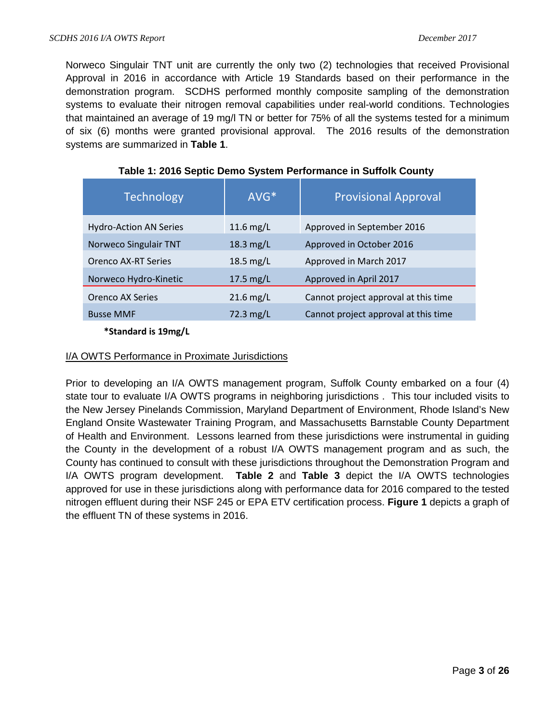Norweco Singulair TNT unit are currently the only two (2) technologies that received Provisional Approval in 2016 in accordance with Article 19 Standards based on their performance in the demonstration program. SCDHS performed monthly composite sampling of the demonstration systems to evaluate their nitrogen removal capabilities under real-world conditions. Technologies that maintained an average of 19 mg/l TN or better for 75% of all the systems tested for a minimum of six (6) months were granted provisional approval. The 2016 results of the demonstration systems are summarized in **Table 1**.

| <b>Technology</b>             | AVG*                | <b>Provisional Approval</b>          |
|-------------------------------|---------------------|--------------------------------------|
| <b>Hydro-Action AN Series</b> | 11.6 $mg/L$         | Approved in September 2016           |
| Norweco Singulair TNT         | $18.3$ mg/L         | Approved in October 2016             |
| <b>Orenco AX-RT Series</b>    | 18.5 $mg/L$         | Approved in March 2017               |
| Norweco Hydro-Kinetic         | $17.5 \text{ mg/L}$ | Approved in April 2017               |
| <b>Orenco AX Series</b>       | $21.6$ mg/L         | Cannot project approval at this time |
| <b>Busse MMF</b>              | 72.3 mg/L           | Cannot project approval at this time |

| Table 1: 2016 Septic Demo System Performance in Suffolk County |
|----------------------------------------------------------------|
|----------------------------------------------------------------|

 **\*Standard is 19mg/L**

# I/A OWTS Performance in Proximate Jurisdictions

Prior to developing an I/A OWTS management program, Suffolk County embarked on a four (4) state tour to evaluate I/A OWTS programs in neighboring jurisdictions . This tour included visits to the New Jersey Pinelands Commission, Maryland Department of Environment, Rhode Island's New England Onsite Wastewater Training Program, and Massachusetts Barnstable County Department of Health and Environment. Lessons learned from these jurisdictions were instrumental in guiding the County in the development of a robust I/A OWTS management program and as such, the County has continued to consult with these jurisdictions throughout the Demonstration Program and I/A OWTS program development. **Table 2** and **Table 3** depict the I/A OWTS technologies approved for use in these jurisdictions along with performance data for 2016 compared to the tested nitrogen effluent during their NSF 245 or EPA ETV certification process. **Figure 1** depicts a graph of the effluent TN of these systems in 2016.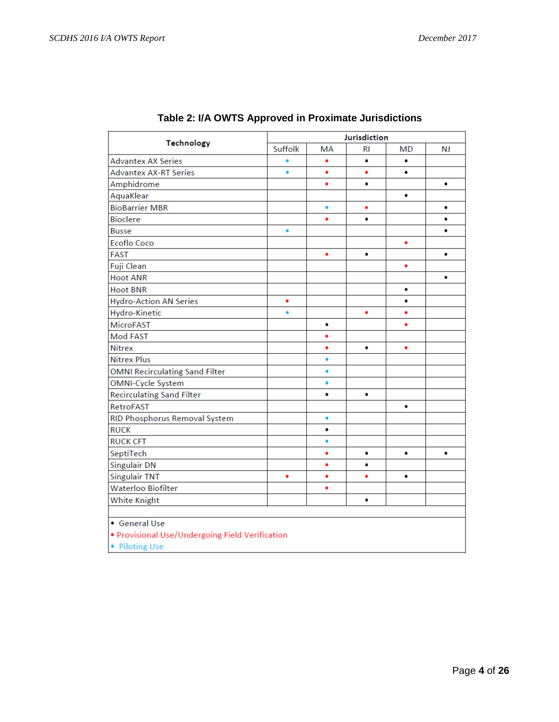| <b>Technology</b>                               |           | Jurisdiction |    |    |           |
|-------------------------------------------------|-----------|--------------|----|----|-----------|
|                                                 | Suffolk   | MA           | RI | MD | <b>NJ</b> |
| <b>Advantex AX Series</b>                       | $\bullet$ | ٠            | ۰  | ٠  |           |
| <b>Advantex AX-RT Series</b>                    | ٠         | ٠            | ٠  | ٠  |           |
| Amphidrome                                      |           | ٠            | ۰  |    | ٠         |
| AquaKlear                                       |           |              |    | ۰  |           |
| <b>BioBarrier MBR</b>                           |           | ٠            | ٠  |    | ۰         |
| <b>Bioclere</b>                                 |           | ٠            | ۰  |    | ٠         |
| <b>Busse</b>                                    | $\bullet$ |              |    |    | ۰         |
| <b>Ecoflo Coco</b>                              |           |              |    | ٠  |           |
| <b>FAST</b>                                     |           | ٠            | ۰  |    | ٠         |
| Fuji Clean                                      |           |              |    | ٠  |           |
| <b>Hoot ANR</b>                                 |           |              |    |    | ۰         |
| <b>Hoot BNR</b>                                 |           |              |    | ۰  |           |
| <b>Hydro-Action AN Series</b>                   | ٠         |              |    | ۰  |           |
| Hydro-Kinetic                                   | ٠         |              | ٠  | ٠  |           |
| <b>MicroFAST</b>                                |           | ۰            |    | ٠  |           |
| Mod FAST                                        |           | ٠            |    |    |           |
| <b>Nitrex</b>                                   |           | ٠            | ٠  | ٠  |           |
| <b>Nitrex Plus</b>                              |           | ۰            |    |    |           |
| <b>OMNI Recirculating Sand Filter</b>           |           | $\bullet$    |    |    |           |
| OMNI-Cycle System                               |           | ٠            |    |    |           |
| <b>Recirculating Sand Filter</b>                |           | ٠            | ٠  |    |           |
| RetroFAST                                       |           |              |    | ۰  |           |
| RID Phosphorus Removal System                   |           | $\bullet$    |    |    |           |
| <b>RUCK</b>                                     |           | ٠            |    |    |           |
| <b>RUCK CFT</b>                                 |           | $\bullet$    |    |    |           |
| SeptiTech                                       |           | ٠            | ۰  | ۰  | ۰         |
| <b>Singulair DN</b>                             |           | ٠            | ٠  |    |           |
| <b>Singulair TNT</b>                            | ٠         | ٠            | ٠  | ٠  |           |
| <b>Waterloo Biofilter</b>                       |           | ٠            |    |    |           |
| White Knight                                    |           |              | ۰  |    |           |
|                                                 |           |              |    |    |           |
| • General Use                                   |           |              |    |    |           |
| · Provisional Use/Undergoing Field Verification |           |              |    |    |           |
| • Piloting Use                                  |           |              |    |    |           |

# **Table 2: I/A OWTS Approved in Proximate Jurisdictions**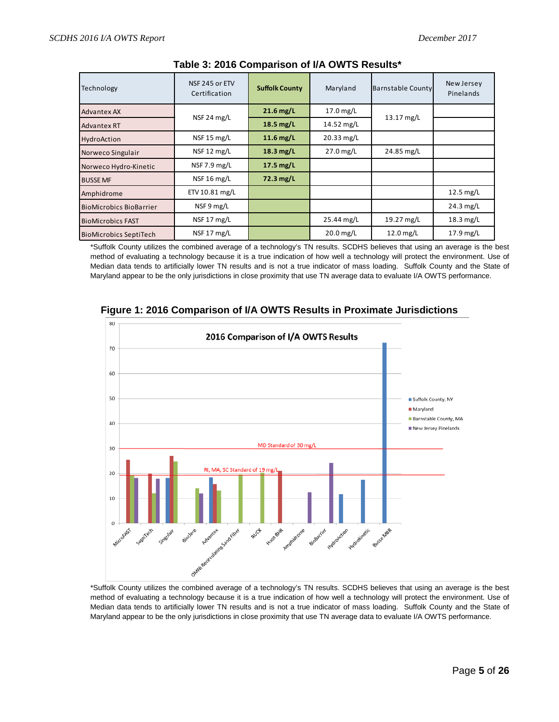| Technology                     | NSF 245 or ETV<br>Certification | <b>Suffolk County</b>    |             | <b>Barnstable County</b> | New Jersey<br>Pinelands |
|--------------------------------|---------------------------------|--------------------------|-------------|--------------------------|-------------------------|
| Advantex AX                    | NSF 24 mg/L                     | $21.6$ mg/L<br>17.0 mg/L |             | 13.17 mg/L               |                         |
| Advantex RT                    |                                 | 18.5 mg/L                | 14.52 mg/L  |                          |                         |
| HydroAction                    | NSF 15 mg/L                     | $11.6$ mg/L              | 20.33 mg/L  |                          |                         |
| Norweco Singulair              | NSF 12 mg/L                     | $18.3$ mg/L              | $27.0$ mg/L | 24.85 mg/L               |                         |
| Norweco Hydro-Kinetic          | NSF 7.9 mg/L                    | $17.5$ mg/L              |             |                          |                         |
| <b>BUSSE MF</b>                | NSF 16 mg/L                     | 72.3 mg/L                |             |                          |                         |
| Amphidrome                     | ETV 10.81 mg/L                  |                          |             |                          | $12.5$ mg/L             |
| <b>BioMicrobics BioBarrier</b> | NSF 9 mg/L                      |                          |             |                          | $24.3$ mg/L             |
| <b>BioMicrobics FAST</b>       | NSF 17 mg/L                     |                          | 25.44 mg/L  | 19.27 mg/L               | $18.3$ mg/L             |
| <b>BioMicrobics SeptiTech</b>  | NSF 17 mg/L                     |                          | $20.0$ mg/L | $12.0$ mg/L              | $17.9$ mg/L             |

#### **Table 3: 2016 Comparison of I/A OWTS Results\***

\*Suffolk County utilizes the combined average of a technology's TN results. SCDHS believes that using an average is the best method of evaluating a technology because it is a true indication of how well a technology will protect the environment. Use of Median data tends to artificially lower TN results and is not a true indicator of mass loading. Suffolk County and the State of Maryland appear to be the only jurisdictions in close proximity that use TN average data to evaluate I/A OWTS performance.



**Figure 1: 2016 Comparison of I/A OWTS Results in Proximate Jurisdictions**

\*Suffolk County utilizes the combined average of a technology's TN results. SCDHS believes that using an average is the best method of evaluating a technology because it is a true indication of how well a technology will protect the environment. Use of Median data tends to artificially lower TN results and is not a true indicator of mass loading. Suffolk County and the State of Maryland appear to be the only jurisdictions in close proximity that use TN average data to evaluate I/A OWTS performance.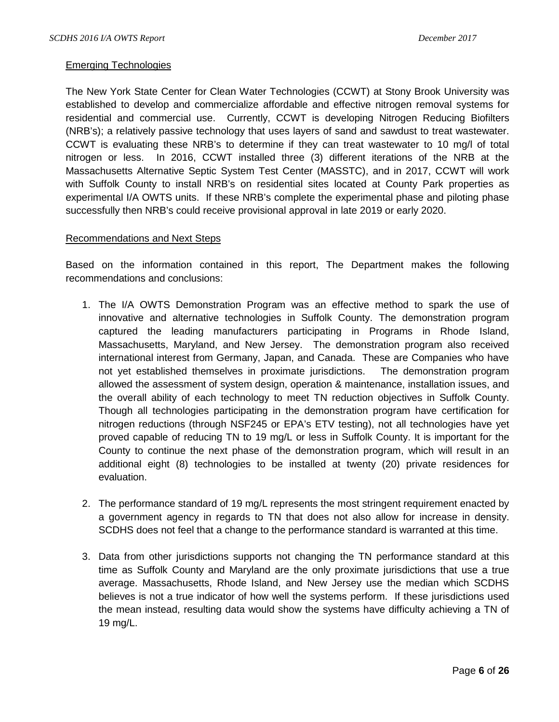#### Emerging Technologies

The New York State Center for Clean Water Technologies (CCWT) at Stony Brook University was established to develop and commercialize affordable and effective nitrogen removal systems for residential and commercial use. Currently, CCWT is developing Nitrogen Reducing Biofilters (NRB's); a relatively passive technology that uses layers of sand and sawdust to treat wastewater. CCWT is evaluating these NRB's to determine if they can treat wastewater to 10 mg/l of total nitrogen or less. In 2016, CCWT installed three (3) different iterations of the NRB at the Massachusetts Alternative Septic System Test Center (MASSTC), and in 2017, CCWT will work with Suffolk County to install NRB's on residential sites located at County Park properties as experimental I/A OWTS units. If these NRB's complete the experimental phase and piloting phase successfully then NRB's could receive provisional approval in late 2019 or early 2020.

#### Recommendations and Next Steps

Based on the information contained in this report, The Department makes the following recommendations and conclusions:

- 1. The I/A OWTS Demonstration Program was an effective method to spark the use of innovative and alternative technologies in Suffolk County. The demonstration program captured the leading manufacturers participating in Programs in Rhode Island, Massachusetts, Maryland, and New Jersey. The demonstration program also received international interest from Germany, Japan, and Canada. These are Companies who have not yet established themselves in proximate jurisdictions. The demonstration program allowed the assessment of system design, operation & maintenance, installation issues, and the overall ability of each technology to meet TN reduction objectives in Suffolk County. Though all technologies participating in the demonstration program have certification for nitrogen reductions (through NSF245 or EPA's ETV testing), not all technologies have yet proved capable of reducing TN to 19 mg/L or less in Suffolk County. It is important for the County to continue the next phase of the demonstration program, which will result in an additional eight (8) technologies to be installed at twenty (20) private residences for evaluation.
- 2. The performance standard of 19 mg/L represents the most stringent requirement enacted by a government agency in regards to TN that does not also allow for increase in density. SCDHS does not feel that a change to the performance standard is warranted at this time.
- 3. Data from other jurisdictions supports not changing the TN performance standard at this time as Suffolk County and Maryland are the only proximate jurisdictions that use a true average. Massachusetts, Rhode Island, and New Jersey use the median which SCDHS believes is not a true indicator of how well the systems perform. If these jurisdictions used the mean instead, resulting data would show the systems have difficulty achieving a TN of 19 mg/L.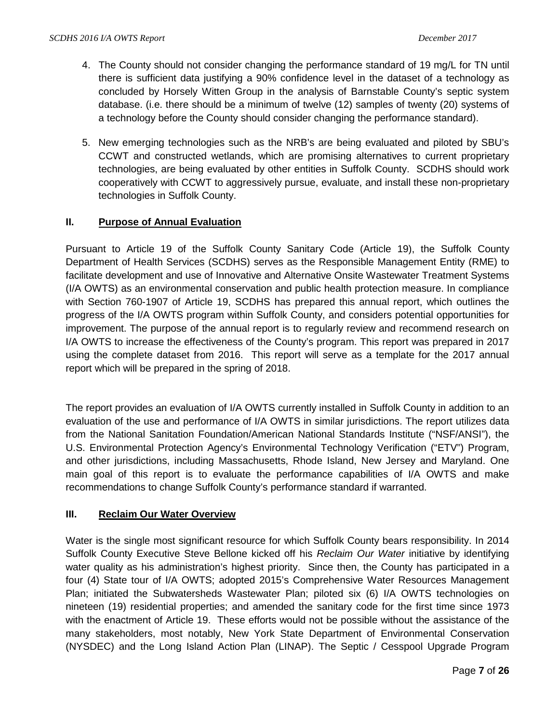- 4. The County should not consider changing the performance standard of 19 mg/L for TN until there is sufficient data justifying a 90% confidence level in the dataset of a technology as concluded by Horsely Witten Group in the analysis of Barnstable County's septic system database. (i.e. there should be a minimum of twelve (12) samples of twenty (20) systems of a technology before the County should consider changing the performance standard).
- 5. New emerging technologies such as the NRB's are being evaluated and piloted by SBU's CCWT and constructed wetlands, which are promising alternatives to current proprietary technologies, are being evaluated by other entities in Suffolk County. SCDHS should work cooperatively with CCWT to aggressively pursue, evaluate, and install these non-proprietary technologies in Suffolk County.

# **II. Purpose of Annual Evaluation**

Pursuant to Article 19 of the Suffolk County Sanitary Code (Article 19), the Suffolk County Department of Health Services (SCDHS) serves as the Responsible Management Entity (RME) to facilitate development and use of Innovative and Alternative Onsite Wastewater Treatment Systems (I/A OWTS) as an environmental conservation and public health protection measure. In compliance with Section 760-1907 of Article 19, SCDHS has prepared this annual report, which outlines the progress of the I/A OWTS program within Suffolk County, and considers potential opportunities for improvement. The purpose of the annual report is to regularly review and recommend research on I/A OWTS to increase the effectiveness of the County's program. This report was prepared in 2017 using the complete dataset from 2016. This report will serve as a template for the 2017 annual report which will be prepared in the spring of 2018.

The report provides an evaluation of I/A OWTS currently installed in Suffolk County in addition to an evaluation of the use and performance of I/A OWTS in similar jurisdictions. The report utilizes data from the National Sanitation Foundation/American National Standards Institute ("NSF/ANSI"), the U.S. Environmental Protection Agency's Environmental Technology Verification ("ETV") Program, and other jurisdictions, including Massachusetts, Rhode Island, New Jersey and Maryland. One main goal of this report is to evaluate the performance capabilities of I/A OWTS and make recommendations to change Suffolk County's performance standard if warranted.

# **III. Reclaim Our Water Overview**

Water is the single most significant resource for which Suffolk County bears responsibility. In 2014 Suffolk County Executive Steve Bellone kicked off his *Reclaim Our Water* initiative by identifying water quality as his administration's highest priority. Since then, the County has participated in a four (4) State tour of I/A OWTS; adopted 2015's Comprehensive Water Resources Management Plan; initiated the Subwatersheds Wastewater Plan; piloted six (6) I/A OWTS technologies on nineteen (19) residential properties; and amended the sanitary code for the first time since 1973 with the enactment of Article 19. These efforts would not be possible without the assistance of the many stakeholders, most notably, New York State Department of Environmental Conservation (NYSDEC) and the Long Island Action Plan (LINAP). The Septic / Cesspool Upgrade Program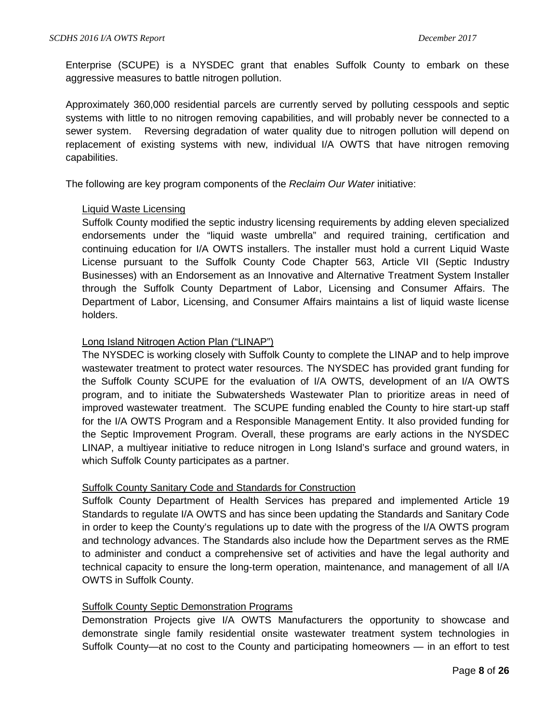Enterprise (SCUPE) is a NYSDEC grant that enables Suffolk County to embark on these aggressive measures to battle nitrogen pollution.

Approximately 360,000 residential parcels are currently served by polluting cesspools and septic systems with little to no nitrogen removing capabilities, and will probably never be connected to a sewer system. Reversing degradation of water quality due to nitrogen pollution will depend on replacement of existing systems with new, individual I/A OWTS that have nitrogen removing capabilities.

The following are key program components of the *Reclaim Our Water* initiative:

### Liquid Waste Licensing

Suffolk County modified the septic industry licensing requirements by adding eleven specialized endorsements under the "liquid waste umbrella" and required training, certification and continuing education for I/A OWTS installers. The installer must hold a current Liquid Waste License pursuant to the Suffolk County Code Chapter 563, Article VII (Septic Industry Businesses) with an Endorsement as an Innovative and Alternative Treatment System Installer through the Suffolk County Department of Labor, Licensing and Consumer Affairs. The Department of Labor, Licensing, and Consumer Affairs maintains a list of liquid waste license holders.

### Long Island Nitrogen Action Plan ("LINAP")

The NYSDEC is working closely with Suffolk County to complete the LINAP and to help improve wastewater treatment to protect water resources. The NYSDEC has provided grant funding for the Suffolk County SCUPE for the evaluation of I/A OWTS, development of an I/A OWTS program, and to initiate the Subwatersheds Wastewater Plan to prioritize areas in need of improved wastewater treatment. The SCUPE funding enabled the County to hire start-up staff for the I/A OWTS Program and a Responsible Management Entity. It also provided funding for the Septic Improvement Program. Overall, these programs are early actions in the NYSDEC LINAP, a multiyear initiative to reduce nitrogen in Long Island's surface and ground waters, in which Suffolk County participates as a partner.

#### Suffolk County Sanitary Code and Standards for Construction

Suffolk County Department of Health Services has prepared and implemented Article 19 Standards to regulate I/A OWTS and has since been updating the Standards and Sanitary Code in order to keep the County's regulations up to date with the progress of the I/A OWTS program and technology advances. The Standards also include how the Department serves as the RME to administer and conduct a comprehensive set of activities and have the legal authority and technical capacity to ensure the long-term operation, maintenance, and management of all I/A OWTS in Suffolk County.

#### Suffolk County Septic Demonstration Programs

Demonstration Projects give I/A OWTS Manufacturers the opportunity to showcase and demonstrate single family residential onsite wastewater treatment system technologies in Suffolk County—at no cost to the County and participating homeowners — in an effort to test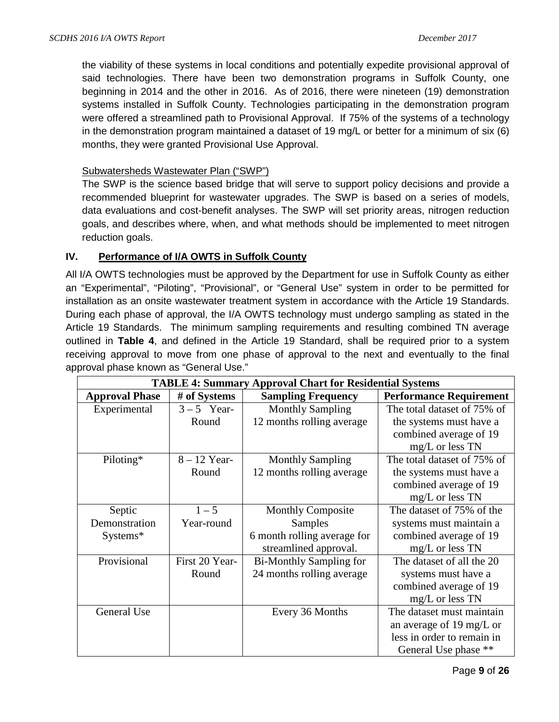the viability of these systems in local conditions and potentially expedite provisional approval of said technologies. There have been two demonstration programs in Suffolk County, one beginning in 2014 and the other in 2016. As of 2016, there were nineteen (19) demonstration systems installed in Suffolk County. Technologies participating in the demonstration program were offered a streamlined path to Provisional Approval. If 75% of the systems of a technology in the demonstration program maintained a dataset of 19 mg/L or better for a minimum of six (6) months, they were granted Provisional Use Approval.

## Subwatersheds Wastewater Plan ("SWP")

The SWP is the science based bridge that will serve to support policy decisions and provide a recommended blueprint for wastewater upgrades. The SWP is based on a series of models, data evaluations and cost-benefit analyses. The SWP will set priority areas, nitrogen reduction goals, and describes where, when, and what methods should be implemented to meet nitrogen reduction goals.

# **IV. Performance of I/A OWTS in Suffolk County**

All I/A OWTS technologies must be approved by the Department for use in Suffolk County as either an "Experimental", "Piloting", "Provisional", or "General Use" system in order to be permitted for installation as an onsite wastewater treatment system in accordance with the Article 19 Standards. During each phase of approval, the I/A OWTS technology must undergo sampling as stated in the Article 19 Standards. The minimum sampling requirements and resulting combined TN average outlined in **Table 4**, and defined in the Article 19 Standard, shall be required prior to a system receiving approval to move from one phase of approval to the next and eventually to the final approval phase known as "General Use."

| <b>TABLE 4: Summary Approval Chart for Residential Systems</b> |                |                                |                                |  |  |  |  |  |  |  |  |
|----------------------------------------------------------------|----------------|--------------------------------|--------------------------------|--|--|--|--|--|--|--|--|
| <b>Approval Phase</b>                                          | # of Systems   | <b>Sampling Frequency</b>      | <b>Performance Requirement</b> |  |  |  |  |  |  |  |  |
| Experimental                                                   | $3-5$ Year-    | <b>Monthly Sampling</b>        | The total dataset of 75% of    |  |  |  |  |  |  |  |  |
|                                                                | Round          | 12 months rolling average      | the systems must have a        |  |  |  |  |  |  |  |  |
|                                                                |                |                                | combined average of 19         |  |  |  |  |  |  |  |  |
|                                                                |                |                                | $mg/L$ or less TN              |  |  |  |  |  |  |  |  |
| Piloting*                                                      | $8 - 12$ Year- | <b>Monthly Sampling</b>        | The total dataset of 75% of    |  |  |  |  |  |  |  |  |
|                                                                | Round          | 12 months rolling average      | the systems must have a        |  |  |  |  |  |  |  |  |
|                                                                |                |                                | combined average of 19         |  |  |  |  |  |  |  |  |
|                                                                |                |                                | mg/L or less TN                |  |  |  |  |  |  |  |  |
| Septic                                                         | $1 - 5$        | <b>Monthly Composite</b>       | The dataset of 75% of the      |  |  |  |  |  |  |  |  |
| Demonstration                                                  | Year-round     | Samples                        | systems must maintain a        |  |  |  |  |  |  |  |  |
| Systems*                                                       |                | 6 month rolling average for    | combined average of 19         |  |  |  |  |  |  |  |  |
|                                                                |                | streamlined approval.          | $mg/L$ or less TN              |  |  |  |  |  |  |  |  |
| Provisional                                                    | First 20 Year- | <b>Bi-Monthly Sampling for</b> | The dataset of all the 20      |  |  |  |  |  |  |  |  |
|                                                                | Round          | 24 months rolling average      | systems must have a            |  |  |  |  |  |  |  |  |
|                                                                |                |                                | combined average of 19         |  |  |  |  |  |  |  |  |
|                                                                |                |                                | mg/L or less TN                |  |  |  |  |  |  |  |  |
| General Use                                                    |                | Every 36 Months                | The dataset must maintain      |  |  |  |  |  |  |  |  |
|                                                                |                |                                | an average of 19 mg/L or       |  |  |  |  |  |  |  |  |
|                                                                |                |                                | less in order to remain in     |  |  |  |  |  |  |  |  |
|                                                                |                |                                | General Use phase **           |  |  |  |  |  |  |  |  |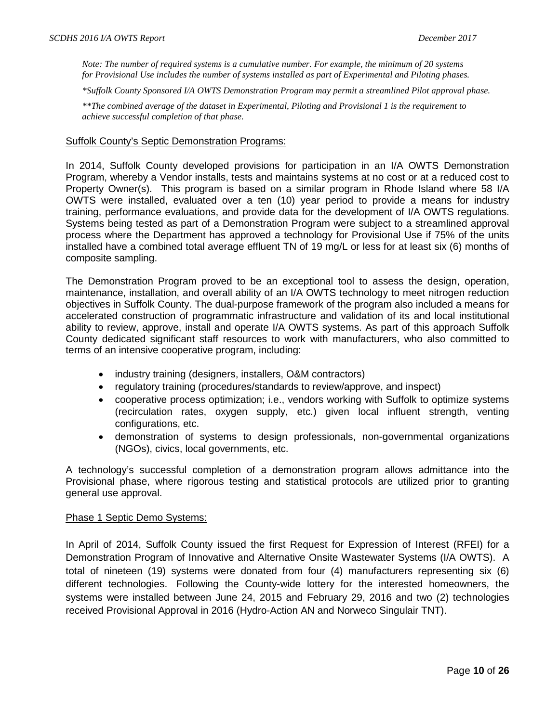*Note: The number of required systems is a cumulative number. For example, the minimum of 20 systems for Provisional Use includes the number of systems installed as part of Experimental and Piloting phases.*

*\*Suffolk County Sponsored I/A OWTS Demonstration Program may permit a streamlined Pilot approval phase.*

*\*\*The combined average of the dataset in Experimental, Piloting and Provisional 1 is the requirement to achieve successful completion of that phase.* 

#### Suffolk County's Septic Demonstration Programs:

In 2014, Suffolk County developed provisions for participation in an I/A OWTS Demonstration Program, whereby a Vendor installs, tests and maintains systems at no cost or at a reduced cost to Property Owner(s). This program is based on a similar program in Rhode Island where 58 I/A OWTS were installed, evaluated over a ten (10) year period to provide a means for industry training, performance evaluations, and provide data for the development of I/A OWTS regulations. Systems being tested as part of a Demonstration Program were subject to a streamlined approval process where the Department has approved a technology for Provisional Use if 75% of the units installed have a combined total average effluent TN of 19 mg/L or less for at least six (6) months of composite sampling.

The Demonstration Program proved to be an exceptional tool to assess the design, operation, maintenance, installation, and overall ability of an I/A OWTS technology to meet nitrogen reduction objectives in Suffolk County. The dual-purpose framework of the program also included a means for accelerated construction of programmatic infrastructure and validation of its and local institutional ability to review, approve, install and operate I/A OWTS systems. As part of this approach Suffolk County dedicated significant staff resources to work with manufacturers, who also committed to terms of an intensive cooperative program, including:

- industry training (designers, installers, O&M contractors)
- regulatory training (procedures/standards to review/approve, and inspect)
- cooperative process optimization; i.e., vendors working with Suffolk to optimize systems (recirculation rates, oxygen supply, etc.) given local influent strength, venting configurations, etc.
- demonstration of systems to design professionals, non-governmental organizations (NGOs), civics, local governments, etc.

A technology's successful completion of a demonstration program allows admittance into the Provisional phase, where rigorous testing and statistical protocols are utilized prior to granting general use approval.

#### Phase 1 Septic Demo Systems:

In April of 2014, Suffolk County issued the first Request for Expression of Interest (RFEI) for a Demonstration Program of Innovative and Alternative Onsite Wastewater Systems (I/A OWTS). A total of nineteen (19) systems were donated from four (4) manufacturers representing six (6) different technologies. Following the County-wide lottery for the interested homeowners, the systems were installed between June 24, 2015 and February 29, 2016 and two (2) technologies received Provisional Approval in 2016 (Hydro-Action AN and Norweco Singulair TNT).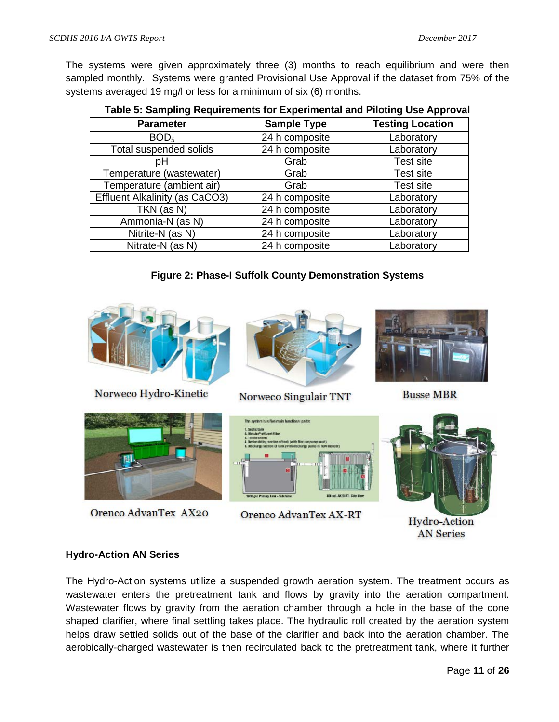The systems were given approximately three (3) months to reach equilibrium and were then sampled monthly. Systems were granted Provisional Use Approval if the dataset from 75% of the systems averaged 19 mg/l or less for a minimum of six (6) months.

| <b>Parameter</b>                      | <b>Sample Type</b> | <b>Testing Location</b> |  |  |  |  |  |  |  |  |  |
|---------------------------------------|--------------------|-------------------------|--|--|--|--|--|--|--|--|--|
| BOD <sub>5</sub>                      | 24 h composite     | Laboratory              |  |  |  |  |  |  |  |  |  |
| Total suspended solids                | 24 h composite     | Laboratory              |  |  |  |  |  |  |  |  |  |
| рH                                    | Grab               | Test site               |  |  |  |  |  |  |  |  |  |
| Temperature (wastewater)              | Grab               | Test site               |  |  |  |  |  |  |  |  |  |
| Temperature (ambient air)             | Grab               | Test site               |  |  |  |  |  |  |  |  |  |
| <b>Effluent Alkalinity (as CaCO3)</b> | 24 h composite     | Laboratory              |  |  |  |  |  |  |  |  |  |
| TKN (as N)                            | 24 h composite     | Laboratory              |  |  |  |  |  |  |  |  |  |
| Ammonia-N (as N)                      | 24 h composite     | Laboratory              |  |  |  |  |  |  |  |  |  |
| Nitrite-N (as N)                      | 24 h composite     | Laboratory              |  |  |  |  |  |  |  |  |  |
| Nitrate-N (as N)                      | 24 h composite     | Laboratory              |  |  |  |  |  |  |  |  |  |

**Table 5: Sampling Requirements for Experimental and Piloting Use Approval**

# **Figure 2: Phase-I Suffolk County Demonstration Systems**



Norweco Hydro-Kinetic



Orenco AdvanTex AX20



Norweco Singulair TNT









**Hydro-Action AN Series** 

# **Hydro-Action AN Series**

The Hydro-Action systems utilize a suspended growth aeration system. The treatment occurs as wastewater enters the pretreatment tank and flows by gravity into the aeration compartment. Wastewater flows by gravity from the aeration chamber through a hole in the base of the cone shaped clarifier, where final settling takes place. The hydraulic roll created by the aeration system helps draw settled solids out of the base of the clarifier and back into the aeration chamber. The aerobically-charged wastewater is then recirculated back to the pretreatment tank, where it further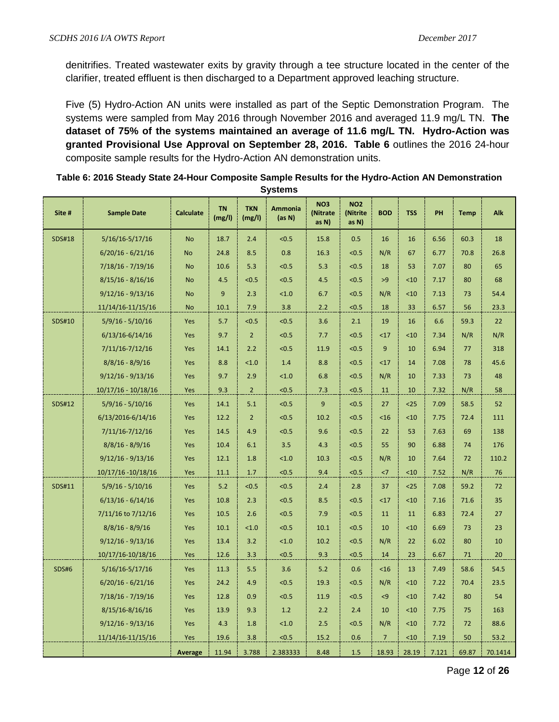denitrifies. Treated wastewater exits by gravity through a tee structure located in the center of the clarifier, treated effluent is then discharged to a Department approved leaching structure.

Five (5) Hydro-Action AN units were installed as part of the Septic Demonstration Program. The systems were sampled from May 2016 through November 2016 and averaged 11.9 mg/L TN. **The dataset of 75% of the systems maintained an average of 11.6 mg/L TN. Hydro-Action was granted Provisional Use Approval on September 28, 2016. Table 6** outlines the 2016 24-hour composite sample results for the Hydro-Action AN demonstration units.

| Table 6: 2016 Steady State 24-Hour Composite Sample Results for the Hydro-Action AN Demonstration |
|---------------------------------------------------------------------------------------------------|
| <b>Systems</b>                                                                                    |

| Site #        | <b>Sample Date</b>    | <b>Calculate</b> | <b>TN</b><br>(mg/l) | <b>TKN</b><br>(mg/l) | Ammonia<br>(as N) | NO <sub>3</sub><br>(Nitrate<br>as N) | <b>NO2</b><br>(Nitrite<br>as N) | <b>BOD</b>     | <b>TSS</b> | PH    | <b>Temp</b> | Alk     |
|---------------|-----------------------|------------------|---------------------|----------------------|-------------------|--------------------------------------|---------------------------------|----------------|------------|-------|-------------|---------|
| <b>SDS#18</b> | 5/16/16-5/17/16       | <b>No</b>        | 18.7                | 2.4                  | < 0.5             | 15.8                                 | 0.5                             | 16             | 16         | 6.56  | 60.3        | 18      |
|               | $6/20/16 - 6/21/16$   | <b>No</b>        | 24.8                | 8.5                  | 0.8               | 16.3                                 | <0.5                            | N/R            | 67         | 6.77  | 70.8        | 26.8    |
|               | $7/18/16 - 7/19/16$   | <b>No</b>        | 10.6                | 5.3                  | < 0.5             | 5.3                                  | < 0.5                           | 18             | 53         | 7.07  | 80          | 65      |
|               | $8/15/16 - 8/16/16$   | <b>No</b>        | 4.5                 | <0.5                 | < 0.5             | 4.5                                  | < 0.5                           | >9             | $10$       | 7.17  | 80          | 68      |
|               | $9/12/16 - 9/13/16$   | <b>No</b>        | 9                   | 2.3                  | < 1.0             | 6.7                                  | < 0.5                           | N/R            | < 10       | 7.13  | 73          | 54.4    |
|               | 11/14/16-11/15/16     | <b>No</b>        | 10.1                | 7.9                  | 3.8               | 2.2                                  | < 0.5                           | 18             | 33         | 6.57  | 56          | 23.3    |
| <b>SDS#10</b> | $5/9/16 - 5/10/16$    | Yes              | 5.7                 | < 0.5                | < 0.5             | 3.6                                  | 2.1                             | 19             | 16         | 6.6   | 59.3        | 22      |
|               | $6/13/16 - 6/14/16$   | Yes              | 9.7                 | $\overline{2}$       | < 0.5             | 7.7                                  | < 0.5                           | <17            | < 10       | 7.34  | N/R         | N/R     |
|               | 7/11/16-7/12/16       | Yes              | 14.1                | 2.2                  | < 0.5             | 11.9                                 | < 0.5                           | 9              | 10         | 6.94  | 77          | 318     |
|               | $8/8/16 - 8/9/16$     | Yes              | 8.8                 | 1.0                  | 1.4               | 8.8                                  | < 0.5                           | <17            | 14         | 7.08  | 78          | 45.6    |
|               | $9/12/16 - 9/13/16$   | Yes              | 9.7                 | 2.9                  | < 1.0             | 6.8                                  | < 0.5                           | N/R            | 10         | 7.33  | 73          | 48      |
|               | $10/17/16 - 10/18/16$ | Yes              | 9.3                 | $\overline{2}$       | < 0.5             | 7.3                                  | < 0.5                           | 11             | 10         | 7.32  | N/R         | 58      |
| <b>SDS#12</b> | $5/9/16 - 5/10/16$    | Yes              | 14.1                | 5.1                  | < 0.5             | 9                                    | < 0.5                           | 27             | $25$       | 7.09  | 58.5        | 52      |
|               | 6/13/2016-6/14/16     | Yes              | 12.2                | $\overline{2}$       | < 0.5             | 10.2                                 | < 0.5                           | <16            | < 10       | 7.75  | 72.4        | 111     |
|               | 7/11/16-7/12/16       | Yes              | 14.5                | 4.9                  | < 0.5             | 9.6                                  | < 0.5                           | 22             | 53         | 7.63  | 69          | 138     |
|               | $8/8/16 - 8/9/16$     | Yes              | 10.4                | 6.1                  | 3.5               | 4.3                                  | < 0.5                           | 55             | 90         | 6.88  | 74          | 176     |
|               | $9/12/16 - 9/13/16$   | Yes              | 12.1                | 1.8                  | < 1.0             | 10.3                                 | < 0.5                           | N/R            | 10         | 7.64  | 72          | 110.2   |
|               | 10/17/16 -10/18/16    | Yes              | 11.1                | 1.7                  | < 0.5             | 9.4                                  | < 0.5                           | <7             | < 10       | 7.52  | N/R         | 76      |
| SDS#11        | $5/9/16 - 5/10/16$    | Yes              | 5.2                 | < 0.5                | < 0.5             | 2.4                                  | 2.8                             | 37             | $25$       | 7.08  | 59.2        | 72      |
|               | $6/13/16 - 6/14/16$   | Yes              | 10.8                | 2.3                  | < 0.5             | 8.5                                  | < 0.5                           | <17            | < 10       | 7.16  | 71.6        | 35      |
|               | 7/11/16 to 7/12/16    | Yes              | 10.5                | 2.6                  | < 0.5             | 7.9                                  | < 0.5                           | 11             | 11         | 6.83  | 72.4        | 27      |
|               | $8/8/16 - 8/9/16$     | Yes              | 10.1                | 1.0                  | < 0.5             | 10.1                                 | < 0.5                           | 10             | < 10       | 6.69  | 73          | 23      |
|               | $9/12/16 - 9/13/16$   | Yes              | 13.4                | 3.2                  | < 1.0             | 10.2                                 | < 0.5                           | N/R            | 22         | 6.02  | 80          | 10      |
|               | 10/17/16-10/18/16     | Yes              | 12.6                | 3.3                  | < 0.5             | 9.3                                  | < 0.5                           | 14             | 23         | 6.67  | 71          | 20      |
| <b>SDS#6</b>  | $5/16/16 - 5/17/16$   | Yes              | 11.3                | 5.5                  | 3.6               | 5.2                                  | 0.6                             | <16            | 13         | 7.49  | 58.6        | 54.5    |
|               | $6/20/16 - 6/21/16$   | Yes              | 24.2                | 4.9                  | < 0.5             | 19.3                                 | < 0.5                           | N/R            | < 10       | 7.22  | 70.4        | 23.5    |
|               | $7/18/16 - 7/19/16$   | Yes              | 12.8                | 0.9                  | < 0.5             | 11.9                                 | < 0.5                           | $\leq$ 9       | <10        | 7.42  | 80          | 54      |
|               | $8/15/16 - 8/16/16$   | Yes              | 13.9                | 9.3                  | 1.2               | 2.2                                  | 2.4                             | 10             | < 10       | 7.75  | 75          | 163     |
|               | $9/12/16 - 9/13/16$   | Yes              | 4.3                 | 1.8                  | < 1.0             | 2.5                                  | < 0.5                           | N/R            | < 10       | 7.72  | 72          | 88.6    |
|               | 11/14/16-11/15/16     | Yes              | 19.6                | 3.8                  | < 0.5             | 15.2                                 | 0.6                             | $\overline{7}$ | < 10       | 7.19  | 50          | 53.2    |
|               |                       | <b>Average</b>   | 11.94               | 3.788                | 2.383333          | 8.48                                 | 1.5                             | 18.93          | 28.19      | 7.121 | 69.87       | 70.1414 |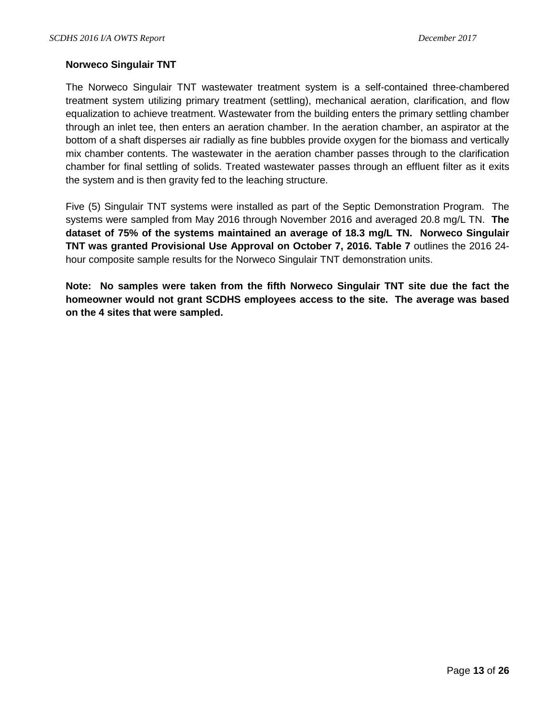#### **Norweco Singulair TNT**

The Norweco Singulair TNT wastewater treatment system is a self-contained three-chambered treatment system utilizing primary treatment (settling), mechanical aeration, clarification, and flow equalization to achieve treatment. Wastewater from the building enters the primary settling chamber through an inlet tee, then enters an aeration chamber. In the aeration chamber, an aspirator at the bottom of a shaft disperses air radially as fine bubbles provide oxygen for the biomass and vertically mix chamber contents. The wastewater in the aeration chamber passes through to the clarification chamber for final settling of solids. Treated wastewater passes through an effluent filter as it exits the system and is then gravity fed to the leaching structure.

Five (5) Singulair TNT systems were installed as part of the Septic Demonstration Program. The systems were sampled from May 2016 through November 2016 and averaged 20.8 mg/L TN. **The dataset of 75% of the systems maintained an average of 18.3 mg/L TN. Norweco Singulair TNT was granted Provisional Use Approval on October 7, 2016. Table 7** outlines the 2016 24 hour composite sample results for the Norweco Singulair TNT demonstration units.

**Note: No samples were taken from the fifth Norweco Singulair TNT site due the fact the homeowner would not grant SCDHS employees access to the site. The average was based on the 4 sites that were sampled.**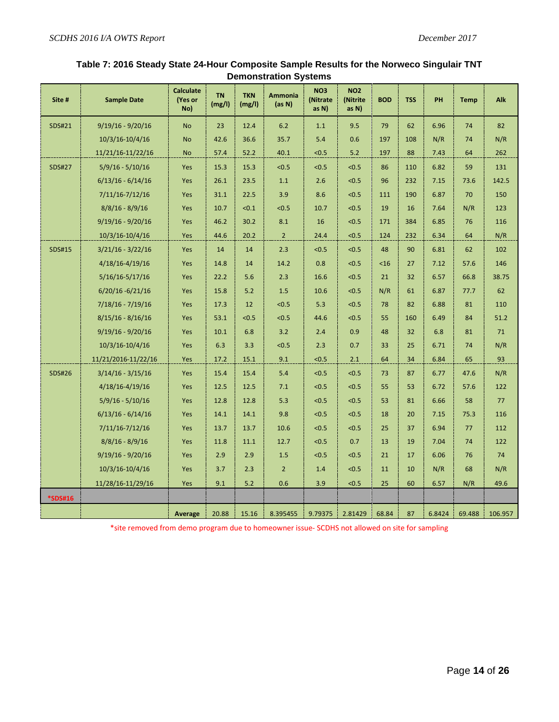| Site #        | <b>Sample Date</b>  | <b>Calculate</b><br>(Yes or<br>No) | <b>TN</b><br>(mg/l) | <b>TKN</b><br>(mg/l) | <b>Ammonia</b><br>(as N) | <b>NO3</b><br>(Nitrate<br>as N) | <b>NO2</b><br>(Nitrite<br>as N) | <b>BOD</b> | <b>TSS</b> | PH     | <b>Temp</b> | Alk     |
|---------------|---------------------|------------------------------------|---------------------|----------------------|--------------------------|---------------------------------|---------------------------------|------------|------------|--------|-------------|---------|
| SDS#21        | $9/19/16 - 9/20/16$ | <b>No</b>                          | 23                  | 12.4                 | 6.2                      | 1.1                             | 9.5                             | 79         | 62         | 6.96   | 74          | 82      |
|               | 10/3/16-10/4/16     | <b>No</b>                          | 42.6                | 36.6                 | 35.7                     | 5.4                             | 0.6                             | 197        | 108        | N/R    | 74          | N/R     |
|               | 11/21/16-11/22/16   | <b>No</b>                          | 57.4                | 52.2                 | 40.1                     | < 0.5                           | 5.2                             | 197        | 88         | 7.43   | 64          | 262     |
| <b>SDS#27</b> | $5/9/16 - 5/10/16$  | Yes                                | 15.3                | 15.3                 | < 0.5                    | < 0.5                           | < 0.5                           | 86         | 110        | 6.82   | 59          | 131     |
|               | $6/13/16 - 6/14/16$ | Yes                                | 26.1                | 23.5                 | $1.1$                    | 2.6                             | < 0.5                           | 96         | 232        | 7.15   | 73.6        | 142.5   |
|               | 7/11/16-7/12/16     | Yes                                | 31.1                | 22.5                 | 3.9                      | 8.6                             | < 0.5                           | 111        | 190        | 6.87   | 70          | 150     |
|               | $8/8/16 - 8/9/16$   | Yes                                | 10.7                | < 0.1                | < 0.5                    | 10.7                            | < 0.5                           | 19         | 16         | 7.64   | N/R         | 123     |
|               | $9/19/16 - 9/20/16$ | Yes                                | 46.2                | 30.2                 | 8.1                      | 16                              | < 0.5                           | 171        | 384        | 6.85   | 76          | 116     |
|               | 10/3/16-10/4/16     | Yes                                | 44.6                | 20.2                 | $2^{\circ}$              | 24.4                            | < 0.5                           | 124        | 232        | 6.34   | 64          | N/R     |
| <b>SDS#15</b> | $3/21/16 - 3/22/16$ | Yes                                | 14                  | 14                   | 2.3                      | < 0.5                           | < 0.5                           | 48         | 90         | 6.81   | 62          | 102     |
|               | 4/18/16-4/19/16     | Yes                                | 14.8                | 14                   | 14.2                     | 0.8                             | < 0.5                           | $<$ 16     | 27         | 7.12   | 57.6        | 146     |
|               | $5/16/16 - 5/17/16$ | Yes                                | 22.2                | 5.6                  | 2.3                      | 16.6                            | < 0.5                           | 21         | 32         | 6.57   | 66.8        | 38.75   |
|               | $6/20/16 - 6/21/16$ | Yes                                | 15.8                | 5.2                  | 1.5                      | 10.6                            | <0.5                            | N/R        | 61         | 6.87   | 77.7        | 62      |
|               | $7/18/16 - 7/19/16$ | Yes                                | 17.3                | 12                   | < 0.5                    | 5.3                             | < 0.5                           | 78         | 82         | 6.88   | 81          | 110     |
|               | $8/15/16 - 8/16/16$ | Yes                                | 53.1                | < 0.5                | < 0.5                    | 44.6                            | < 0.5                           | 55         | 160        | 6.49   | 84          | 51.2    |
|               | $9/19/16 - 9/20/16$ | Yes                                | 10.1                | 6.8                  | 3.2                      | 2.4                             | 0.9                             | 48         | 32         | 6.8    | 81          | 71      |
|               | 10/3/16-10/4/16     | Yes                                | 6.3                 | 3.3                  | < 0.5                    | 2.3                             | 0.7                             | 33         | 25         | 6.71   | 74          | N/R     |
|               | 11/21/2016-11/22/16 | Yes                                | 17.2                | 15.1                 | 9.1                      | < 0.5                           | 2.1                             | 64         | 34         | 6.84   | 65          | 93      |
| <b>SDS#26</b> | $3/14/16 - 3/15/16$ | Yes                                | 15.4                | 15.4                 | 5.4                      | < 0.5                           | <0.5                            | 73         | 87         | 6.77   | 47.6        | N/R     |
|               | $4/18/16 - 4/19/16$ | Yes                                | 12.5                | 12.5                 | 7.1                      | < 0.5                           | < 0.5                           | 55         | 53         | 6.72   | 57.6        | 122     |
|               | $5/9/16 - 5/10/16$  | Yes                                | 12.8                | 12.8                 | 5.3                      | < 0.5                           | < 0.5                           | 53         | 81         | 6.66   | 58          | 77      |
|               | $6/13/16 - 6/14/16$ | Yes                                | 14.1                | 14.1                 | 9.8                      | < 0.5                           | < 0.5                           | 18         | 20         | 7.15   | 75.3        | 116     |
|               | $7/11/16 - 7/12/16$ | Yes                                | 13.7                | 13.7                 | 10.6                     | < 0.5                           | < 0.5                           | 25         | 37         | 6.94   | 77          | 112     |
|               | $8/8/16 - 8/9/16$   | Yes                                | 11.8                | 11.1                 | 12.7                     | < 0.5                           | 0.7                             | 13         | 19         | 7.04   | 74          | 122     |
|               | $9/19/16 - 9/20/16$ | Yes                                | 2.9                 | 2.9                  | 1.5                      | < 0.5                           | < 0.5                           | 21         | 17         | 6.06   | 76          | 74      |
|               | 10/3/16-10/4/16     | Yes                                | 3.7                 | 2.3                  | $\overline{2}$           | 1.4                             | < 0.5                           | 11         | 10         | N/R    | 68          | N/R     |
|               | 11/28/16-11/29/16   | Yes                                | 9.1                 | 5.2                  | 0.6                      | 3.9                             | < 0.5                           | 25         | 60         | 6.57   | N/R         | 49.6    |
| *SDS#16       |                     |                                    |                     |                      |                          |                                 |                                 |            |            |        |             |         |
|               |                     | <b>Average</b>                     | 20.88               | 15.16                | 8.395455                 | 9.79375                         | 2.81429                         | 68.84      | 87         | 6.8424 | 69.488      | 106.957 |

#### **Table 7: 2016 Steady State 24-Hour Composite Sample Results for the Norweco Singulair TNT Demonstration Systems**

\*site removed from demo program due to homeowner issue- SCDHS not allowed on site for sampling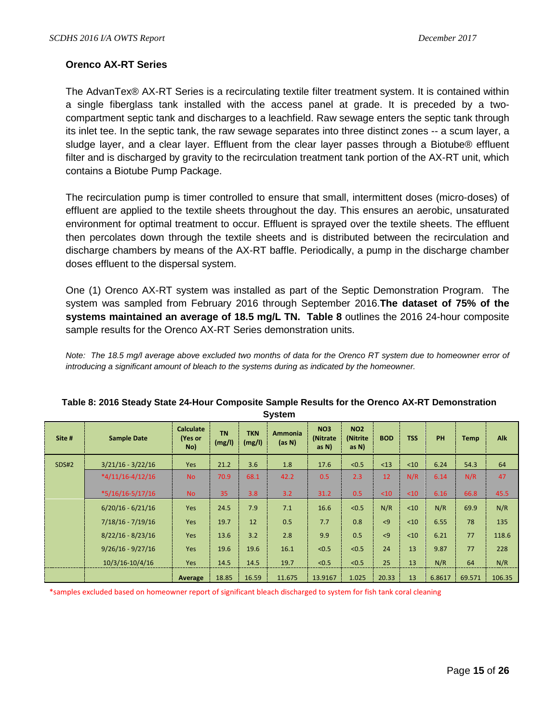## **Orenco AX-RT Series**

The AdvanTex® AX-RT Series is a recirculating textile filter treatment system. It is contained within a single fiberglass tank installed with the access panel at grade. It is preceded by a twocompartment septic tank and discharges to a leachfield. Raw sewage enters the septic tank through its inlet tee. In the septic tank, the raw sewage separates into three distinct zones -- a scum layer, a sludge layer, and a clear layer. Effluent from the clear layer passes through a Biotube® effluent filter and is discharged by gravity to the recirculation treatment tank portion of the AX-RT unit, which contains a Biotube Pump Package.

The recirculation pump is timer controlled to ensure that small, intermittent doses (micro-doses) of effluent are applied to the textile sheets throughout the day. This ensures an aerobic, unsaturated environment for optimal treatment to occur. Effluent is sprayed over the textile sheets. The effluent then percolates down through the textile sheets and is distributed between the recirculation and discharge chambers by means of the AX-RT baffle. Periodically, a pump in the discharge chamber doses effluent to the dispersal system.

One (1) Orenco AX-RT system was installed as part of the Septic Demonstration Program. The system was sampled from February 2016 through September 2016.**The dataset of 75% of the systems maintained an average of 18.5 mg/L TN. Table 8** outlines the 2016 24-hour composite sample results for the Orenco AX-RT Series demonstration units.

*Note: The 18.5 mg/l average above excluded two months of data for the Orenco RT system due to homeowner error of introducing a significant amount of bleach to the systems during as indicated by the homeowner.*

| OYSLEIII     |                     |                                    |                     |                      |                          |                                 |                                    |            |            |           |             |            |
|--------------|---------------------|------------------------------------|---------------------|----------------------|--------------------------|---------------------------------|------------------------------------|------------|------------|-----------|-------------|------------|
| Site #       | <b>Sample Date</b>  | <b>Calculate</b><br>(Yes or<br>No) | <b>TN</b><br>(mg/l) | <b>TKN</b><br>(mg/l) | <b>Ammonia</b><br>(as N) | <b>NO3</b><br>(Nitrate<br>as N) | <b>NO2</b><br>(Nitrite<br>as $N$ ) | <b>BOD</b> | <b>TSS</b> | <b>PH</b> | <b>Temp</b> | <b>Alk</b> |
| <b>SDS#2</b> | $3/21/16 - 3/22/16$ | Yes                                | 21.2                | 3.6                  | 1.8                      | 17.6                            | < 0.5                              | $13$       | <10        | 6.24      | 54.3        | 64         |
|              | $*4/11/16-4/12/16$  | <b>No</b>                          | 70.9                | 68.1                 | 42.2                     | 0.5                             | 2.3                                | 12         | N/R        | 6.14      | N/R         | 47         |
|              | $*5/16/16-5/17/16$  | <b>No</b>                          | 35                  | 3.8                  | 3.2                      | 31.2                            | 0.5                                | <10        | $10$       | 6.16      | 66.8        | 45.5       |
|              | $6/20/16 - 6/21/16$ | Yes                                | 24.5                | 7.9                  | 7.1                      | 16.6                            | < 0.5                              | N/R        | < 10       | N/R       | 69.9        | N/R        |
|              | $7/18/16 - 7/19/16$ | Yes                                | 19.7                | 12                   | 0.5                      | 7.7                             | 0.8                                | < 9        | < 10       | 6.55      | 78          | 135        |
|              | $8/22/16 - 8/23/16$ | Yes                                | 13.6                | 3.2                  | 2.8                      | 9.9                             | 0.5                                | < 9        | < 10       | 6.21      | 77          | 118.6      |
|              | $9/26/16 - 9/27/16$ | <b>Yes</b>                         | 19.6                | 19.6                 | 16.1                     | < 0.5                           | < 0.5                              | 24         | 13         | 9.87      | 77          | 228        |
|              | 10/3/16-10/4/16     | <b>Yes</b>                         | 14.5                | 14.5                 | 19.7                     | < 0.5                           | < 0.5                              | 25         | 13         | N/R       | 64          | N/R        |
|              |                     | Average                            | 18.85               | 16.59                | 11.675                   | 13.9167                         | 1.025                              | 20.33      | 13         | 6.8617    | 69.571      | 106.35     |

#### **Table 8: 2016 Steady State 24-Hour Composite Sample Results for the Orenco AX-RT Demonstration System**

\*samples excluded based on homeowner report of significant bleach discharged to system for fish tank coral cleaning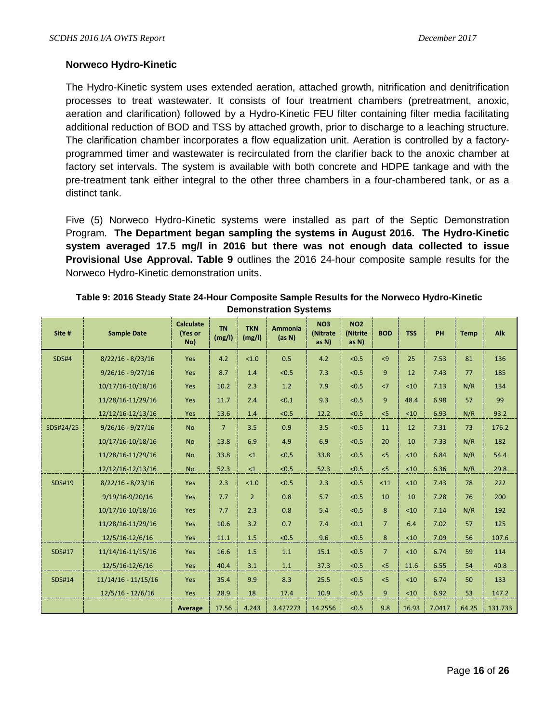#### **Norweco Hydro-Kinetic**

The Hydro-Kinetic system uses extended aeration, attached growth, nitrification and denitrification processes to treat wastewater. It consists of four treatment chambers (pretreatment, anoxic, aeration and clarification) followed by a Hydro-Kinetic FEU filter containing filter media facilitating additional reduction of BOD and TSS by attached growth, prior to discharge to a leaching structure. The clarification chamber incorporates a flow equalization unit. Aeration is controlled by a factoryprogrammed timer and wastewater is recirculated from the clarifier back to the anoxic chamber at factory set intervals. The system is available with both concrete and HDPE tankage and with the pre-treatment tank either integral to the other three chambers in a four-chambered tank, or as a distinct tank.

Five (5) Norweco Hydro-Kinetic systems were installed as part of the Septic Demonstration Program. **The Department began sampling the systems in August 2016. The Hydro-Kinetic system averaged 17.5 mg/l in 2016 but there was not enough data collected to issue Provisional Use Approval. Table 9** outlines the 2016 24-hour composite sample results for the Norweco Hydro-Kinetic demonstration units.

| Site #        | <b>Sample Date</b>    | <b>Calculate</b><br>(Yes or<br>No) | <b>TN</b><br>(mg/l) | <b>TKN</b><br>(mg/l) | <b>Ammonia</b><br>(as N) | <b>NO3</b><br>(Nitrate<br>as N) | <b>NO2</b><br>(Nitrite<br>as N) | <b>BOD</b>     | <b>TSS</b> | <b>PH</b> | <b>Temp</b> | Alk     |
|---------------|-----------------------|------------------------------------|---------------------|----------------------|--------------------------|---------------------------------|---------------------------------|----------------|------------|-----------|-------------|---------|
| <b>SDS#4</b>  | $8/22/16 - 8/23/16$   | Yes                                | 4.2                 | $<1.0$               | 0.5                      | 4.2                             | < 0.5                           | < 9            | 25         | 7.53      | 81          | 136     |
|               | $9/26/16 - 9/27/16$   | <b>Yes</b>                         | 8.7                 | 1.4                  | < 0.5                    | 7.3                             | < 0.5                           | 9              | 12         | 7.43      | 77          | 185     |
|               | 10/17/16-10/18/16     | Yes                                | 10.2                | 2.3                  | 1.2                      | 7.9                             | < 0.5                           | <7             | $10$       | 7.13      | N/R         | 134     |
|               | 11/28/16-11/29/16     | Yes                                | 11.7                | 2.4                  | < 0.1                    | 9.3                             | < 0.5                           | 9              | 48.4       | 6.98      | 57          | 99      |
|               | 12/12/16-12/13/16     | Yes                                | 13.6                | 1.4                  | < 0.5                    | 12.2                            | < 0.5                           | < 5            | < 10       | 6.93      | N/R         | 93.2    |
| SDS#24/25     | $9/26/16 - 9/27/16$   | <b>No</b>                          | $\overline{7}$      | 3.5                  | 0.9                      | 3.5                             | < 0.5                           | 11             | 12         | 7.31      | 73          | 176.2   |
|               | 10/17/16-10/18/16     | <b>No</b>                          | 13.8                | 6.9                  | 4.9                      | 6.9                             | < 0.5                           | 20             | 10         | 7.33      | N/R         | 182     |
|               | 11/28/16-11/29/16     | <b>No</b>                          | 33.8                | $\leq 1$             | < 0.5                    | 33.8                            | < 0.5                           | < 5            | $10$       | 6.84      | N/R         | 54.4    |
|               | 12/12/16-12/13/16     | <b>No</b>                          | 52.3                | $\leq 1$             | < 0.5                    | 52.3                            | < 0.5                           | < 5            | < 10       | 6.36      | N/R         | 29.8    |
| SDS#19        | $8/22/16 - 8/23/16$   | <b>Yes</b>                         | 2.3                 | < 1.0                | < 0.5                    | 2.3                             | < 0.5                           | < 11           | $10$       | 7.43      | 78          | 222     |
|               | 9/19/16-9/20/16       | Yes                                | 7.7                 | $\overline{2}$       | 0.8                      | 5.7                             | < 0.5                           | 10             | 10         | 7.28      | 76          | 200     |
|               | 10/17/16-10/18/16     | Yes                                | 7.7                 | 2.3                  | 0.8                      | 5.4                             | < 0.5                           | 8              | $10$       | 7.14      | N/R         | 192     |
|               | 11/28/16-11/29/16     | Yes                                | 10.6                | 3.2                  | 0.7                      | 7.4                             | < 0.1                           | $\overline{7}$ | 6.4        | 7.02      | 57          | 125     |
|               | 12/5/16-12/6/16       | Yes                                | 11.1                | 1.5                  | < 0.5                    | 9.6                             | < 0.5                           | 8              | < 10       | 7.09      | 56          | 107.6   |
| SDS#17        | 11/14/16-11/15/16     | Yes                                | 16.6                | 1.5                  | 1.1                      | 15.1                            | < 0.5                           | 7 <sup>1</sup> | $10$       | 6.74      | 59          | 114     |
|               | 12/5/16-12/6/16       | Yes                                | 40.4                | 3.1                  | 1.1                      | 37.3                            | < 0.5                           | < 5            | 11.6       | 6.55      | 54          | 40.8    |
| <b>SDS#14</b> | $11/14/16 - 11/15/16$ | Yes                                | 35.4                | 9.9                  | 8.3                      | 25.5                            | < 0.5                           | < 5            | $10$       | 6.74      | 50          | 133     |
|               | $12/5/16 - 12/6/16$   | <b>Yes</b>                         | 28.9                | 18                   | 17.4                     | 10.9                            | < 0.5                           | 9              | < 10       | 6.92      | 53          | 147.2   |
|               |                       | Average                            | 17.56               | 4.243                | 3.427273                 | 14.2556                         | < 0.5                           | 9.8            | 16.93      | 7.0417    | 64.25       | 131.733 |

| Table 9: 2016 Steady State 24-Hour Composite Sample Results for the Norweco Hydro-Kinetic |
|-------------------------------------------------------------------------------------------|
| <b>Demonstration Systems</b>                                                              |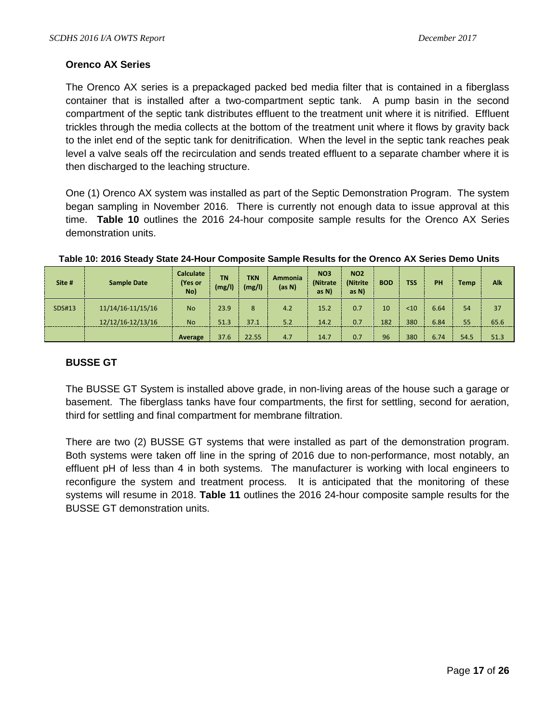#### **Orenco AX Series**

The Orenco AX series is a prepackaged packed bed media filter that is contained in a fiberglass container that is installed after a two-compartment septic tank. A pump basin in the second compartment of the septic tank distributes effluent to the treatment unit where it is nitrified. Effluent trickles through the media collects at the bottom of the treatment unit where it flows by gravity back to the inlet end of the septic tank for denitrification. When the level in the septic tank reaches peak level a valve seals off the recirculation and sends treated effluent to a separate chamber where it is then discharged to the leaching structure.

One (1) Orenco AX system was installed as part of the Septic Demonstration Program. The system began sampling in November 2016. There is currently not enough data to issue approval at this time. **Table 10** outlines the 2016 24-hour composite sample results for the Orenco AX Series demonstration units.

| Site # | <b>Sample Date</b>    | <b>Calculate</b><br>(Yes or<br>No) | <b>TN</b><br>(mg/l) | <b>TKN</b><br>(mg/l) | <b>Ammonia</b><br>(as N) | <b>NO3</b><br><i>(Nitrate)</i><br>as N | <b>NO2</b><br>(Nitrite)<br>as N | <b>BOD</b> | <b>TSS</b> | PH   | <b>Temp</b> | Alk  |
|--------|-----------------------|------------------------------------|---------------------|----------------------|--------------------------|----------------------------------------|---------------------------------|------------|------------|------|-------------|------|
| SDS#13 | $11/14/16 - 11/15/16$ | <b>No</b>                          | 23.9                | 8                    | 4.2                      | 15.2                                   | 0.7                             | 10         | $10$       | 6.64 | 54          | 37   |
|        | $12/12/16 - 12/13/16$ | <b>No</b>                          | 51.3                | 37.1                 | 5.2                      | 14.2                                   | 0.7                             | 182        | 380        | 6.84 | 55          | 65.6 |
|        |                       | Average                            | 37.6                | 22.55                | 4.7                      | 14.7                                   | 0.7                             | 96         | 380        | 6.74 | 54.5        | 51.3 |

#### **Table 10: 2016 Steady State 24-Hour Composite Sample Results for the Orenco AX Series Demo Units**

#### **BUSSE GT**

The BUSSE GT System is installed above grade, in non-living areas of the house such a garage or basement. The fiberglass tanks have four compartments, the first for settling, second for aeration, third for settling and final compartment for membrane filtration.

There are two (2) BUSSE GT systems that were installed as part of the demonstration program. Both systems were taken off line in the spring of 2016 due to non-performance, most notably, an effluent pH of less than 4 in both systems. The manufacturer is working with local engineers to reconfigure the system and treatment process. It is anticipated that the monitoring of these systems will resume in 2018. **Table 11** outlines the 2016 24-hour composite sample results for the BUSSE GT demonstration units.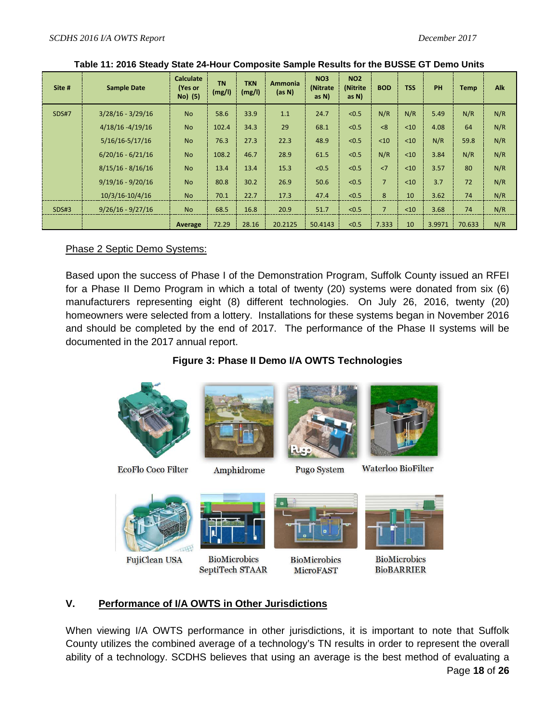| Site #       | <b>Sample Date</b>  | <b>Calculate</b><br>(Yes or<br>No) (5) | <b>TN</b><br>(mg/l) | <b>TKN</b><br>(mg/l) | <b>Ammonia</b><br>(as N) | <b>NO3</b><br>(Nitrate<br>as $N$ ) | <b>NO2</b><br>(Nitrite<br>as $N$ ) | <b>BOD</b>     | <b>TSS</b> | <b>PH</b> | <b>Temp</b> | <b>Alk</b> |
|--------------|---------------------|----------------------------------------|---------------------|----------------------|--------------------------|------------------------------------|------------------------------------|----------------|------------|-----------|-------------|------------|
| <b>SDS#7</b> | $3/28/16 - 3/29/16$ | <b>No</b>                              | 58.6                | 33.9                 | 1.1                      | 24.7                               | < 0.5                              | N/R            | N/R        | 5.49      | N/R         | N/R        |
|              | $4/18/16 - 4/19/16$ | <b>No</b>                              | 102.4               | 34.3                 | 29                       | 68.1                               | < 0.5                              | <8             | $10$       | 4.08      | 64          | N/R        |
|              | $5/16/16 - 5/17/16$ | <b>No</b>                              | 76.3                | 27.3                 | 22.3                     | 48.9                               | < 0.5                              | $10$           | $10$       | N/R       | 59.8        | N/R        |
|              | $6/20/16 - 6/21/16$ | <b>No</b>                              | 108.2               | 46.7                 | 28.9                     | 61.5                               | < 0.5                              | N/R            | <10        | 3.84      | N/R         | N/R        |
|              | $8/15/16 - 8/16/16$ | <b>No</b>                              | 13.4                | 13.4                 | 15.3                     | < 0.5                              | < 0.5                              | $\langle 7$    | < 10       | 3.57      | 80          | N/R        |
|              | $9/19/16 - 9/20/16$ | <b>No</b>                              | 80.8                | 30.2                 | 26.9                     | 50.6                               | < 0.5                              | $\overline{7}$ | $10$       | 3.7       | 72          | N/R        |
|              | $10/3/16 - 10/4/16$ | <b>No</b>                              | 70.1                | 22.7                 | 17.3                     | 47.4                               | < 0.5                              | 8              | 10         | 3.62      | 74          | N/R        |
| SDS#3        | $9/26/16 - 9/27/16$ | <b>No</b>                              | 68.5                | 16.8                 | 20.9                     | 51.7                               | < 0.5                              | $\overline{7}$ | < 10       | 3.68      | 74          | N/R        |
|              |                     | Average                                | 72.29               | 28.16                | 20.2125                  | 50.4143                            | < 0.5                              | 7.333          | 10         | 3.9971    | 70.633      | N/R        |

|  |  |  | Table 11: 2016 Steady State 24-Hour Composite Sample Results for the BUSSE GT Demo Units |
|--|--|--|------------------------------------------------------------------------------------------|
|--|--|--|------------------------------------------------------------------------------------------|

# Phase 2 Septic Demo Systems:

Based upon the success of Phase I of the Demonstration Program, Suffolk County issued an RFEI for a Phase II Demo Program in which a total of twenty (20) systems were donated from six (6) manufacturers representing eight (8) different technologies. On July 26, 2016, twenty (20) homeowners were selected from a lottery. Installations for these systems began in November 2016 and should be completed by the end of 2017. The performance of the Phase II systems will be documented in the 2017 annual report.

# **Figure 3: Phase II Demo I/A OWTS Technologies**



FujiClean USA

**BioMicrobics** SeptiTech STAAR



**BioMicrobics BioBARRIER** 

# **V. Performance of I/A OWTS in Other Jurisdictions**

Page **18** of **26** When viewing I/A OWTS performance in other jurisdictions, it is important to note that Suffolk County utilizes the combined average of a technology's TN results in order to represent the overall ability of a technology. SCDHS believes that using an average is the best method of evaluating a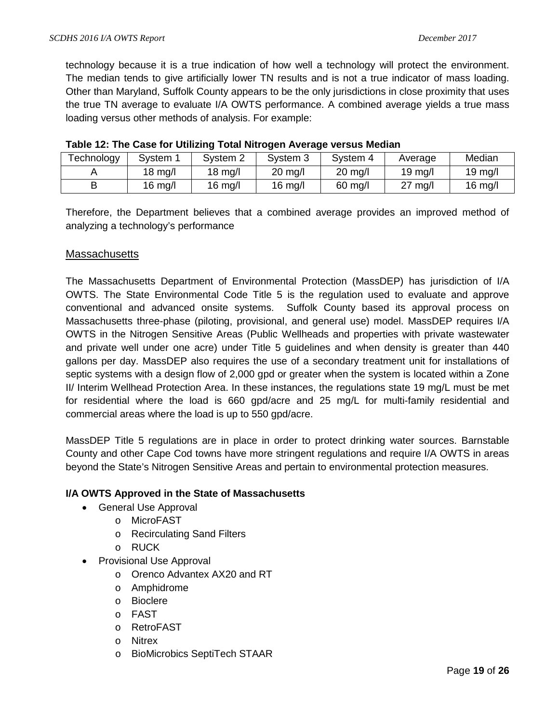technology because it is a true indication of how well a technology will protect the environment. The median tends to give artificially lower TN results and is not a true indicator of mass loading. Other than Maryland, Suffolk County appears to be the only jurisdictions in close proximity that uses the true TN average to evaluate I/A OWTS performance. A combined average yields a true mass loading versus other methods of analysis. For example:

| Technology | Svstem            | System 2          | System 3          | System 4          | Average   | Median            |
|------------|-------------------|-------------------|-------------------|-------------------|-----------|-------------------|
|            | $18 \text{ mg/l}$ | $18 \text{ mg/l}$ | $20 \text{ mg/l}$ | $20 \text{ mg/l}$ | $19$ mg/l | $19 \text{ mg/l}$ |
|            | $16 \text{ mg/l}$ | $16 \text{ mg/l}$ | $16$ mg/l         | $60$ mg/l         | $27$ mg/l | $16$ mg/l         |

| Table 12: The Case for Utilizing Total Nitrogen Average versus Median |  |  |
|-----------------------------------------------------------------------|--|--|
|-----------------------------------------------------------------------|--|--|

Therefore, the Department believes that a combined average provides an improved method of analyzing a technology's performance

### **Massachusetts**

The Massachusetts Department of Environmental Protection (MassDEP) has jurisdiction of I/A OWTS. The State Environmental Code Title 5 is the regulation used to evaluate and approve conventional and advanced onsite systems. Suffolk County based its approval process on Massachusetts three-phase (piloting, provisional, and general use) model. MassDEP requires I/A OWTS in the Nitrogen Sensitive Areas (Public Wellheads and properties with private wastewater and private well under one acre) under Title 5 guidelines and when density is greater than 440 gallons per day. MassDEP also requires the use of a secondary treatment unit for installations of septic systems with a design flow of 2,000 gpd or greater when the system is located within a Zone II/ Interim Wellhead Protection Area. In these instances, the regulations state 19 mg/L must be met for residential where the load is 660 gpd/acre and 25 mg/L for multi-family residential and commercial areas where the load is up to 550 gpd/acre.

MassDEP Title 5 regulations are in place in order to protect drinking water sources. Barnstable County and other Cape Cod towns have more stringent regulations and require I/A OWTS in areas beyond the State's Nitrogen Sensitive Areas and pertain to environmental protection measures.

# **I/A OWTS Approved in the State of Massachusetts**

- General Use Approval
	- o MicroFAST
	- o Recirculating Sand Filters
	- o RUCK
- Provisional Use Approval
	- o Orenco Advantex AX20 and RT
	- o Amphidrome
	- o Bioclere
	- o FAST
	- o RetroFAST
	- o Nitrex
	- o BioMicrobics SeptiTech STAAR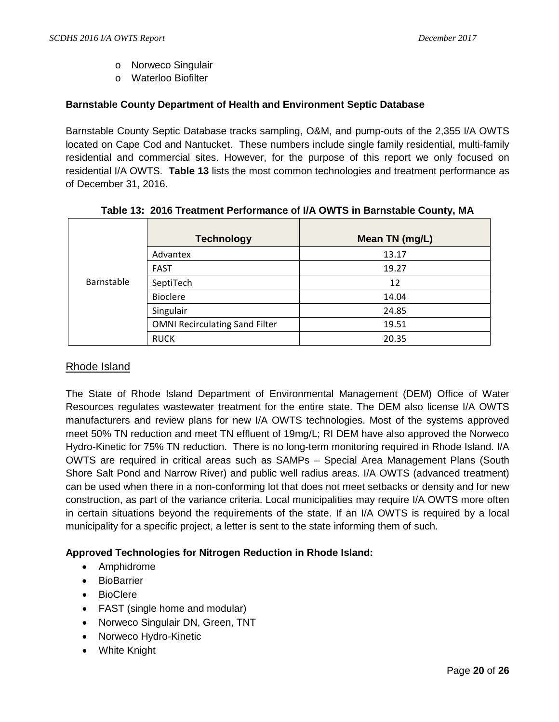- o Norweco Singulair
- o Waterloo Biofilter

# **Barnstable County Department of Health and Environment Septic Database**

Barnstable County Septic Database tracks sampling, O&M, and pump-outs of the 2,355 I/A OWTS located on Cape Cod and Nantucket. These numbers include single family residential, multi-family residential and commercial sites. However, for the purpose of this report we only focused on residential I/A OWTS. **Table 13** lists the most common technologies and treatment performance as of December 31, 2016.

|            | <b>Technology</b>                     | Mean TN (mg/L) |
|------------|---------------------------------------|----------------|
|            | Advantex                              | 13.17          |
| Barnstable | <b>FAST</b>                           | 19.27          |
|            | SeptiTech                             | 12             |
|            | <b>Bioclere</b>                       | 14.04          |
|            | Singulair                             | 24.85          |
|            | <b>OMNI Recirculating Sand Filter</b> | 19.51          |
|            | <b>RUCK</b>                           | 20.35          |

# **Table 13: 2016 Treatment Performance of I/A OWTS in Barnstable County, MA**

# Rhode Island

The State of Rhode Island Department of Environmental Management (DEM) Office of Water Resources regulates wastewater treatment for the entire state. The DEM also license I/A OWTS manufacturers and review plans for new I/A OWTS technologies. Most of the systems approved meet 50% TN reduction and meet TN effluent of 19mg/L; RI DEM have also approved the Norweco Hydro-Kinetic for 75% TN reduction. There is no long-term monitoring required in Rhode Island. I/A OWTS are required in critical areas such as SAMPs – Special Area Management Plans (South Shore Salt Pond and Narrow River) and public well radius areas. I/A OWTS (advanced treatment) can be used when there in a non-conforming lot that does not meet setbacks or density and for new construction, as part of the variance criteria. Local municipalities may require I/A OWTS more often in certain situations beyond the requirements of the state. If an I/A OWTS is required by a local municipality for a specific project, a letter is sent to the state informing them of such.

# **Approved Technologies for Nitrogen Reduction in Rhode Island:**

- Amphidrome
- BioBarrier
- BioClere
- FAST (single home and modular)
- Norweco Singulair DN, Green, TNT
- Norweco Hydro-Kinetic
- White Knight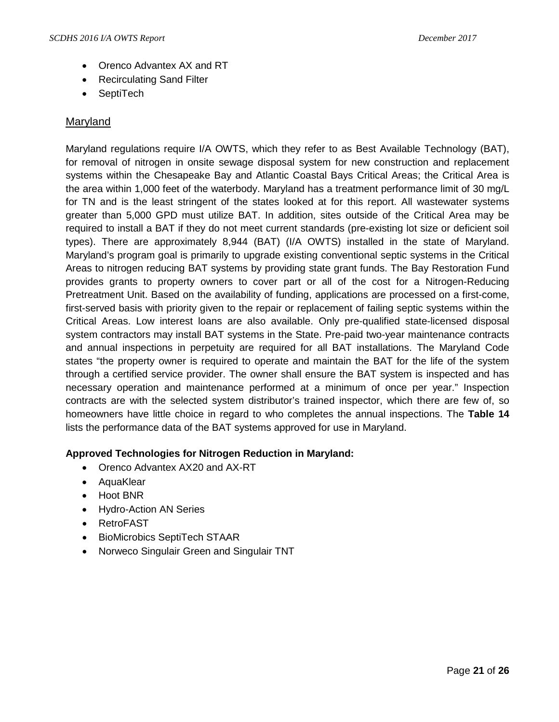- Orenco Advantex AX and RT
- Recirculating Sand Filter
- SeptiTech

# **Maryland**

Maryland regulations require I/A OWTS, which they refer to as Best Available Technology (BAT), for removal of nitrogen in onsite sewage disposal system for new construction and replacement systems within the Chesapeake Bay and Atlantic Coastal Bays Critical Areas; the Critical Area is the area within 1,000 feet of the waterbody. Maryland has a treatment performance limit of 30 mg/L for TN and is the least stringent of the states looked at for this report. All wastewater systems greater than 5,000 GPD must utilize BAT. In addition, sites outside of the Critical Area may be required to install a BAT if they do not meet current standards (pre-existing lot size or deficient soil types). There are approximately 8,944 (BAT) (I/A OWTS) installed in the state of Maryland. Maryland's program goal is primarily to upgrade existing conventional septic systems in the Critical Areas to nitrogen reducing BAT systems by providing state grant funds. The Bay Restoration Fund provides grants to property owners to cover part or all of the cost for a Nitrogen-Reducing Pretreatment Unit. Based on the availability of funding, applications are processed on a first-come, first-served basis with priority given to the repair or replacement of failing septic systems within the Critical Areas. Low interest loans are also available. Only pre-qualified state-licensed disposal system contractors may install BAT systems in the State. Pre-paid two-year maintenance contracts and annual inspections in perpetuity are required for all BAT installations. The Maryland Code states "the property owner is required to operate and maintain the BAT for the life of the system through a certified service provider. The owner shall ensure the BAT system is inspected and has necessary operation and maintenance performed at a minimum of once per year." Inspection contracts are with the selected system distributor's trained inspector, which there are few of, so homeowners have little choice in regard to who completes the annual inspections. The **Table 14**  lists the performance data of the BAT systems approved for use in Maryland.

# **Approved Technologies for Nitrogen Reduction in Maryland:**

- Orenco Advantex AX20 and AX-RT
- AquaKlear
- Hoot BNR
- Hydro-Action AN Series
- RetroFAST
- BioMicrobics SeptiTech STAAR
- Norweco Singulair Green and Singulair TNT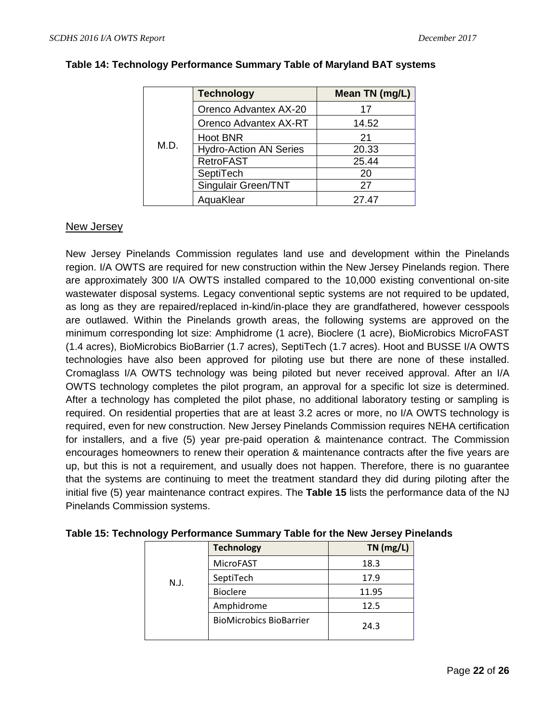|      | <b>Technology</b>             | Mean TN (mg/L) |
|------|-------------------------------|----------------|
| M.D. | Orenco Advantex AX-20         | 17             |
|      | Orenco Advantex AX-RT         | 14.52          |
|      | <b>Hoot BNR</b>               | 21             |
|      | <b>Hydro-Action AN Series</b> | 20.33          |
|      | <b>RetroFAST</b>              | 25.44          |
|      | SeptiTech                     | 20             |
|      | Singulair Green/TNT           | 27             |
|      | AquaKlear                     | 27.47          |

### **Table 14: Technology Performance Summary Table of Maryland BAT systems**

# New Jersey

New Jersey Pinelands Commission regulates land use and development within the Pinelands region. I/A OWTS are required for new construction within the New Jersey Pinelands region. There are approximately 300 I/A OWTS installed compared to the 10,000 existing conventional on-site wastewater disposal systems. Legacy conventional septic systems are not required to be updated, as long as they are repaired/replaced in-kind/in-place they are grandfathered, however cesspools are outlawed. Within the Pinelands growth areas, the following systems are approved on the minimum corresponding lot size: Amphidrome (1 acre), Bioclere (1 acre), BioMicrobics MicroFAST (1.4 acres), BioMicrobics BioBarrier (1.7 acres), SeptiTech (1.7 acres). Hoot and BUSSE I/A OWTS technologies have also been approved for piloting use but there are none of these installed. Cromaglass I/A OWTS technology was being piloted but never received approval. After an I/A OWTS technology completes the pilot program, an approval for a specific lot size is determined. After a technology has completed the pilot phase, no additional laboratory testing or sampling is required. On residential properties that are at least 3.2 acres or more, no I/A OWTS technology is required, even for new construction. New Jersey Pinelands Commission requires NEHA certification for installers, and a five (5) year pre-paid operation & maintenance contract. The Commission encourages homeowners to renew their operation & maintenance contracts after the five years are up, but this is not a requirement, and usually does not happen. Therefore, there is no guarantee that the systems are continuing to meet the treatment standard they did during piloting after the initial five (5) year maintenance contract expires. The **Table 15** lists the performance data of the NJ Pinelands Commission systems.

|      | <b>Technology</b>              | $TN$ (mg/L) |
|------|--------------------------------|-------------|
|      | <b>MicroFAST</b>               | 18.3        |
| N.J. | SeptiTech                      | 17.9        |
|      | <b>Bioclere</b>                | 11.95       |
|      | Amphidrome                     | 12.5        |
|      | <b>BioMicrobics BioBarrier</b> | 24.3        |

| Table 15: Technology Performance Summary Table for the New Jersey Pinelands |  |
|-----------------------------------------------------------------------------|--|
|-----------------------------------------------------------------------------|--|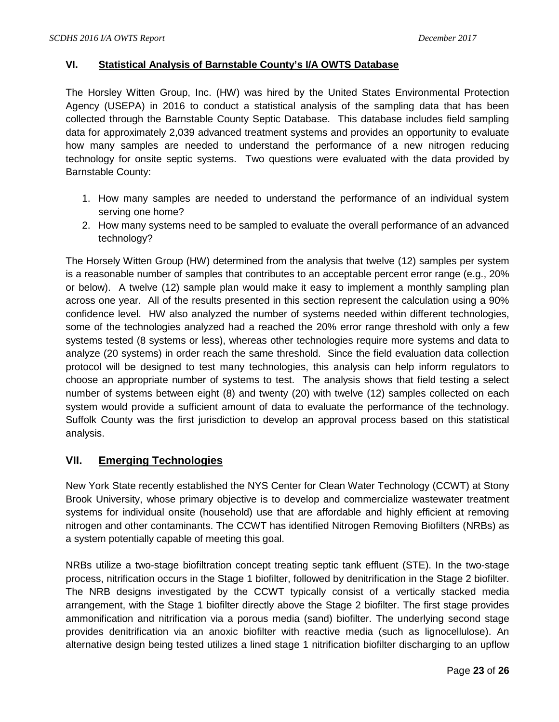# **VI. Statistical Analysis of Barnstable County's I/A OWTS Database**

The Horsley Witten Group, Inc. (HW) was hired by the United States Environmental Protection Agency (USEPA) in 2016 to conduct a statistical analysis of the sampling data that has been collected through the Barnstable County Septic Database. This database includes field sampling data for approximately 2,039 advanced treatment systems and provides an opportunity to evaluate how many samples are needed to understand the performance of a new nitrogen reducing technology for onsite septic systems. Two questions were evaluated with the data provided by Barnstable County:

- 1. How many samples are needed to understand the performance of an individual system serving one home?
- 2. How many systems need to be sampled to evaluate the overall performance of an advanced technology?

The Horsely Witten Group (HW) determined from the analysis that twelve (12) samples per system is a reasonable number of samples that contributes to an acceptable percent error range (e.g., 20% or below). A twelve (12) sample plan would make it easy to implement a monthly sampling plan across one year. All of the results presented in this section represent the calculation using a 90% confidence level. HW also analyzed the number of systems needed within different technologies, some of the technologies analyzed had a reached the 20% error range threshold with only a few systems tested (8 systems or less), whereas other technologies require more systems and data to analyze (20 systems) in order reach the same threshold. Since the field evaluation data collection protocol will be designed to test many technologies, this analysis can help inform regulators to choose an appropriate number of systems to test. The analysis shows that field testing a select number of systems between eight (8) and twenty (20) with twelve (12) samples collected on each system would provide a sufficient amount of data to evaluate the performance of the technology. Suffolk County was the first jurisdiction to develop an approval process based on this statistical analysis.

# **VII. Emerging Technologies**

New York State recently established the NYS Center for Clean Water Technology (CCWT) at Stony Brook University, whose primary objective is to develop and commercialize wastewater treatment systems for individual onsite (household) use that are affordable and highly efficient at removing nitrogen and other contaminants. The CCWT has identified Nitrogen Removing Biofilters (NRBs) as a system potentially capable of meeting this goal.

NRBs utilize a two-stage biofiltration concept treating septic tank effluent (STE). In the two-stage process, nitrification occurs in the Stage 1 biofilter, followed by denitrification in the Stage 2 biofilter. The NRB designs investigated by the CCWT typically consist of a vertically stacked media arrangement, with the Stage 1 biofilter directly above the Stage 2 biofilter. The first stage provides ammonification and nitrification via a porous media (sand) biofilter. The underlying second stage provides denitrification via an anoxic biofilter with reactive media (such as lignocellulose). An alternative design being tested utilizes a lined stage 1 nitrification biofilter discharging to an upflow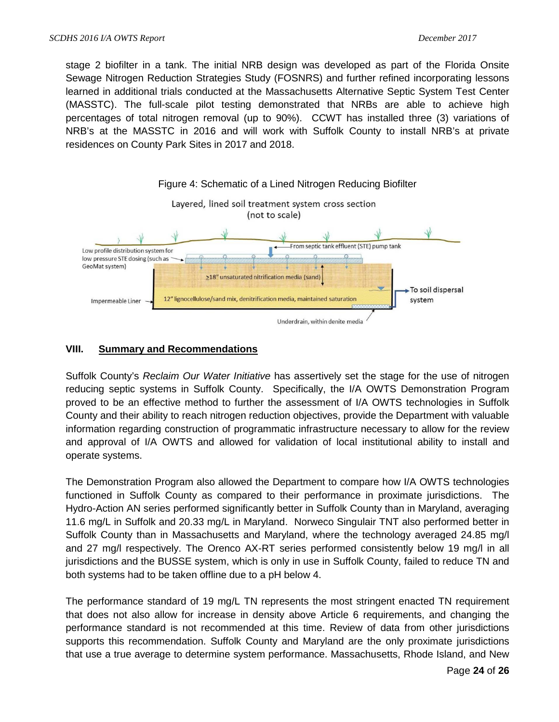stage 2 biofilter in a tank. The initial NRB design was developed as part of the Florida Onsite Sewage Nitrogen Reduction Strategies Study (FOSNRS) and further refined incorporating lessons learned in additional trials conducted at the Massachusetts Alternative Septic System Test Center (MASSTC). The full-scale pilot testing demonstrated that NRBs are able to achieve high percentages of total nitrogen removal (up to 90%). CCWT has installed three (3) variations of NRB's at the MASSTC in 2016 and will work with Suffolk County to install NRB's at private residences on County Park Sites in 2017 and 2018.



# **VIII. Summary and Recommendations**

Suffolk County's *Reclaim Our Water Initiative* has assertively set the stage for the use of nitrogen reducing septic systems in Suffolk County. Specifically, the I/A OWTS Demonstration Program proved to be an effective method to further the assessment of I/A OWTS technologies in Suffolk County and their ability to reach nitrogen reduction objectives, provide the Department with valuable information regarding construction of programmatic infrastructure necessary to allow for the review and approval of I/A OWTS and allowed for validation of local institutional ability to install and operate systems.

The Demonstration Program also allowed the Department to compare how I/A OWTS technologies functioned in Suffolk County as compared to their performance in proximate jurisdictions. The Hydro-Action AN series performed significantly better in Suffolk County than in Maryland, averaging 11.6 mg/L in Suffolk and 20.33 mg/L in Maryland. Norweco Singulair TNT also performed better in Suffolk County than in Massachusetts and Maryland, where the technology averaged 24.85 mg/l and 27 mg/l respectively. The Orenco AX-RT series performed consistently below 19 mg/l in all jurisdictions and the BUSSE system, which is only in use in Suffolk County, failed to reduce TN and both systems had to be taken offline due to a pH below 4.

The performance standard of 19 mg/L TN represents the most stringent enacted TN requirement that does not also allow for increase in density above Article 6 requirements, and changing the performance standard is not recommended at this time. Review of data from other jurisdictions supports this recommendation. Suffolk County and Maryland are the only proximate jurisdictions that use a true average to determine system performance. Massachusetts, Rhode Island, and New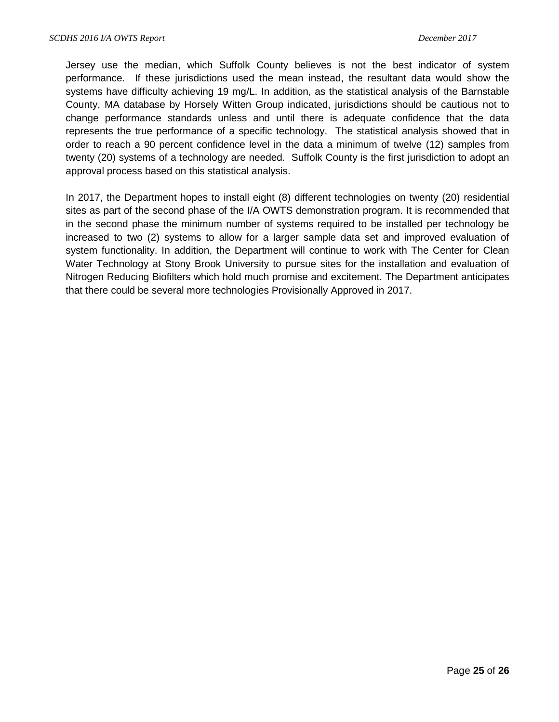Jersey use the median, which Suffolk County believes is not the best indicator of system performance. If these jurisdictions used the mean instead, the resultant data would show the systems have difficulty achieving 19 mg/L. In addition, as the statistical analysis of the Barnstable County, MA database by Horsely Witten Group indicated, jurisdictions should be cautious not to change performance standards unless and until there is adequate confidence that the data represents the true performance of a specific technology. The statistical analysis showed that in order to reach a 90 percent confidence level in the data a minimum of twelve (12) samples from twenty (20) systems of a technology are needed. Suffolk County is the first jurisdiction to adopt an approval process based on this statistical analysis.

In 2017, the Department hopes to install eight (8) different technologies on twenty (20) residential sites as part of the second phase of the I/A OWTS demonstration program. It is recommended that in the second phase the minimum number of systems required to be installed per technology be increased to two (2) systems to allow for a larger sample data set and improved evaluation of system functionality. In addition, the Department will continue to work with The Center for Clean Water Technology at Stony Brook University to pursue sites for the installation and evaluation of Nitrogen Reducing Biofilters which hold much promise and excitement. The Department anticipates that there could be several more technologies Provisionally Approved in 2017.